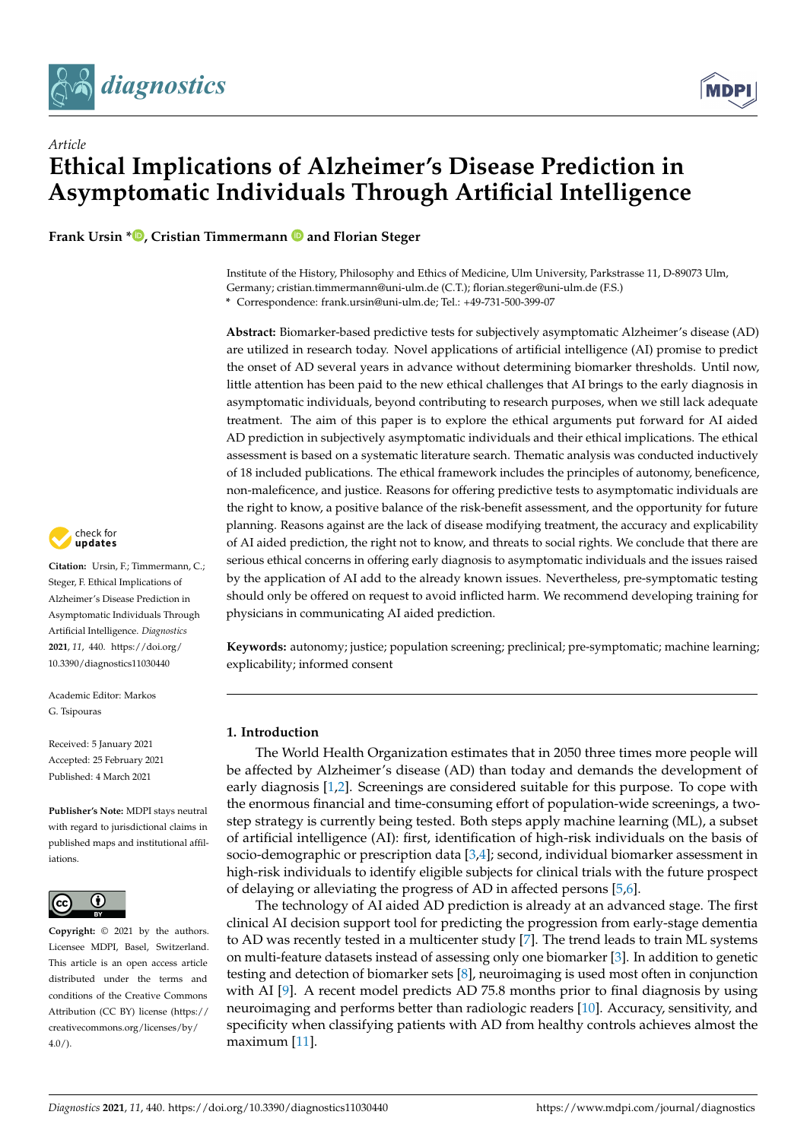



**Frank Ursin [\\*](https://orcid.org/0000-0002-9378-3811) , Cristian Timmermann and Florian Steger**



Institute of the History, Philosophy and Ethics of Medicine, Ulm University, Parkstrasse 11, D-89073 Ulm, Germany; cristian.timmermann@uni-ulm.de (C.T.); florian.steger@uni-ulm.de (F.S.) **\*** Correspondence: frank.ursin@uni-ulm.de; Tel.: +49-731-500-399-07

**Abstract:** Biomarker-based predictive tests for subjectively asymptomatic Alzheimer's disease (AD) are utilized in research today. Novel applications of artificial intelligence (AI) promise to predict the onset of AD several years in advance without determining biomarker thresholds. Until now, little attention has been paid to the new ethical challenges that AI brings to the early diagnosis in asymptomatic individuals, beyond contributing to research purposes, when we still lack adequate treatment. The aim of this paper is to explore the ethical arguments put forward for AI aided AD prediction in subjectively asymptomatic individuals and their ethical implications. The ethical assessment is based on a systematic literature search. Thematic analysis was conducted inductively of 18 included publications. The ethical framework includes the principles of autonomy, beneficence, non-maleficence, and justice. Reasons for offering predictive tests to asymptomatic individuals are the right to know, a positive balance of the risk-benefit assessment, and the opportunity for future planning. Reasons against are the lack of disease modifying treatment, the accuracy and explicability of AI aided prediction, the right not to know, and threats to social rights. We conclude that there are serious ethical concerns in offering early diagnosis to asymptomatic individuals and the issues raised by the application of AI add to the already known issues. Nevertheless, pre-symptomatic testing should only be offered on request to avoid inflicted harm. We recommend developing training for physicians in communicating AI aided prediction.

**Keywords:** autonomy; justice; population screening; preclinical; pre-symptomatic; machine learning; explicability; informed consent

# **1. Introduction**

The World Health Organization estimates that in 2050 three times more people will be affected by Alzheimer's disease (AD) than today and demands the development of early diagnosis [\[1](#page-13-0)[,2\]](#page-13-1). Screenings are considered suitable for this purpose. To cope with the enormous financial and time-consuming effort of population-wide screenings, a twostep strategy is currently being tested. Both steps apply machine learning (ML), a subset of artificial intelligence (AI): first, identification of high-risk individuals on the basis of socio-demographic or prescription data  $[3,4]$  $[3,4]$ ; second, individual biomarker assessment in high-risk individuals to identify eligible subjects for clinical trials with the future prospect of delaying or alleviating the progress of AD in affected persons [\[5,](#page-13-4)[6\]](#page-13-5).

The technology of AI aided AD prediction is already at an advanced stage. The first clinical AI decision support tool for predicting the progression from early-stage dementia to AD was recently tested in a multicenter study [\[7\]](#page-13-6). The trend leads to train ML systems on multi-feature datasets instead of assessing only one biomarker [\[3\]](#page-13-2). In addition to genetic testing and detection of biomarker sets [\[8\]](#page-14-0), neuroimaging is used most often in conjunction with AI [\[9\]](#page-14-1). A recent model predicts AD 75.8 months prior to final diagnosis by using neuroimaging and performs better than radiologic readers [\[10\]](#page-14-2). Accuracy, sensitivity, and specificity when classifying patients with AD from healthy controls achieves almost the maximum [\[11\]](#page-14-3).



**Citation:** Ursin, F.; Timmermann, C.; Steger, F. Ethical Implications of Alzheimer's Disease Prediction in Asymptomatic Individuals Through Artificial Intelligence. *Diagnostics* **2021**, *11*, 440. [https://doi.org/](https://doi.org/10.3390/diagnostics11030440) [10.3390/diagnostics11030440](https://doi.org/10.3390/diagnostics11030440)

Academic Editor: Markos G. Tsipouras

Received: 5 January 2021 Accepted: 25 February 2021 Published: 4 March 2021

**Publisher's Note:** MDPI stays neutral with regard to jurisdictional claims in published maps and institutional affiliations.



**Copyright:** © 2021 by the authors. Licensee MDPI, Basel, Switzerland. This article is an open access article distributed under the terms and conditions of the Creative Commons Attribution (CC BY) license (https:/[/](https://creativecommons.org/licenses/by/4.0/) [creativecommons.org/licenses/by/](https://creativecommons.org/licenses/by/4.0/)  $4.0/$ ).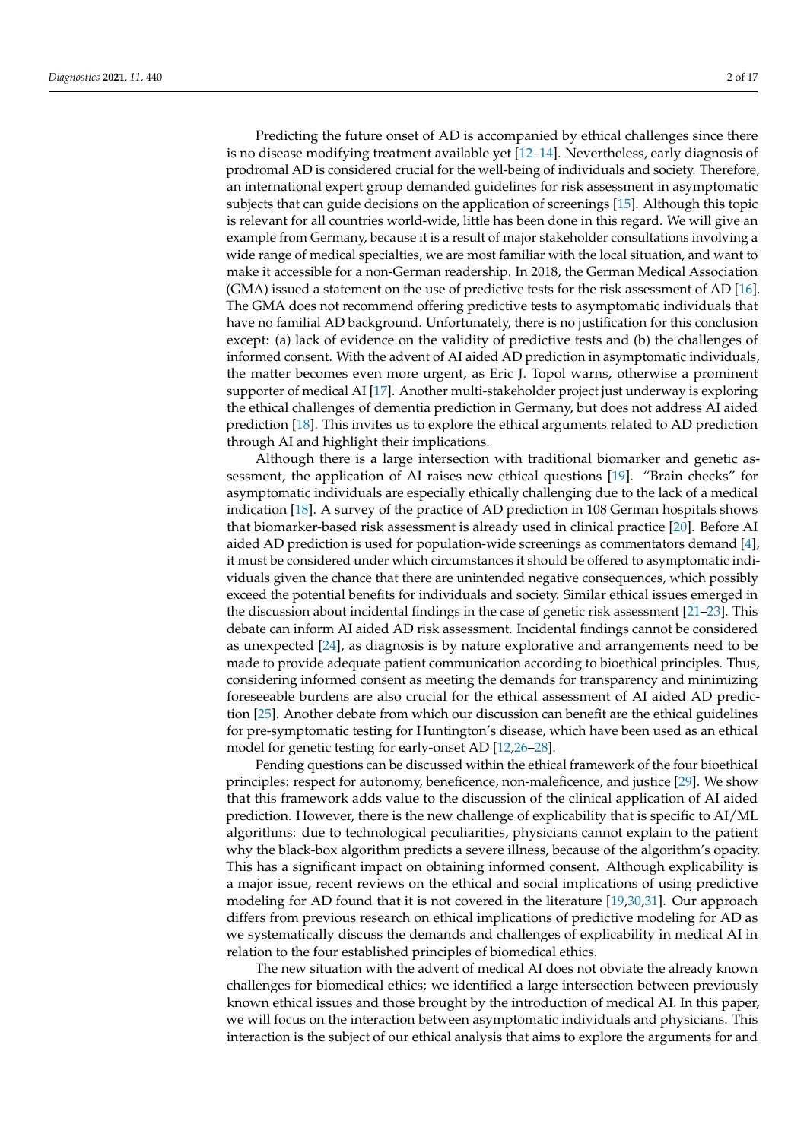Predicting the future onset of AD is accompanied by ethical challenges since there is no disease modifying treatment available yet [\[12](#page-14-4)[–14\]](#page-14-5). Nevertheless, early diagnosis of prodromal AD is considered crucial for the well-being of individuals and society. Therefore, an international expert group demanded guidelines for risk assessment in asymptomatic subjects that can guide decisions on the application of screenings [\[15\]](#page-14-6). Although this topic is relevant for all countries world-wide, little has been done in this regard. We will give an example from Germany, because it is a result of major stakeholder consultations involving a wide range of medical specialties, we are most familiar with the local situation, and want to make it accessible for a non-German readership. In 2018, the German Medical Association (GMA) issued a statement on the use of predictive tests for the risk assessment of AD [\[16\]](#page-14-7). The GMA does not recommend offering predictive tests to asymptomatic individuals that have no familial AD background. Unfortunately, there is no justification for this conclusion except: (a) lack of evidence on the validity of predictive tests and (b) the challenges of informed consent. With the advent of AI aided AD prediction in asymptomatic individuals, the matter becomes even more urgent, as Eric J. Topol warns, otherwise a prominent supporter of medical AI [\[17\]](#page-14-8). Another multi-stakeholder project just underway is exploring the ethical challenges of dementia prediction in Germany, but does not address AI aided prediction [\[18\]](#page-14-9). This invites us to explore the ethical arguments related to AD prediction through AI and highlight their implications.

Although there is a large intersection with traditional biomarker and genetic assessment, the application of AI raises new ethical questions [\[19\]](#page-14-10). "Brain checks" for asymptomatic individuals are especially ethically challenging due to the lack of a medical indication [\[18\]](#page-14-9). A survey of the practice of AD prediction in 108 German hospitals shows that biomarker-based risk assessment is already used in clinical practice [\[20\]](#page-14-11). Before AI aided AD prediction is used for population-wide screenings as commentators demand [\[4\]](#page-13-3), it must be considered under which circumstances it should be offered to asymptomatic individuals given the chance that there are unintended negative consequences, which possibly exceed the potential benefits for individuals and society. Similar ethical issues emerged in the discussion about incidental findings in the case of genetic risk assessment [\[21–](#page-14-12)[23\]](#page-14-13). This debate can inform AI aided AD risk assessment. Incidental findings cannot be considered as unexpected [\[24\]](#page-14-14), as diagnosis is by nature explorative and arrangements need to be made to provide adequate patient communication according to bioethical principles. Thus, considering informed consent as meeting the demands for transparency and minimizing foreseeable burdens are also crucial for the ethical assessment of AI aided AD prediction [\[25\]](#page-14-15). Another debate from which our discussion can benefit are the ethical guidelines for pre-symptomatic testing for Huntington's disease, which have been used as an ethical model for genetic testing for early-onset AD [\[12](#page-14-4)[,26](#page-14-16)[–28\]](#page-14-17).

Pending questions can be discussed within the ethical framework of the four bioethical principles: respect for autonomy, beneficence, non-maleficence, and justice [\[29\]](#page-14-18). We show that this framework adds value to the discussion of the clinical application of AI aided prediction. However, there is the new challenge of explicability that is specific to AI/ML algorithms: due to technological peculiarities, physicians cannot explain to the patient why the black-box algorithm predicts a severe illness, because of the algorithm's opacity. This has a significant impact on obtaining informed consent. Although explicability is a major issue, recent reviews on the ethical and social implications of using predictive modeling for AD found that it is not covered in the literature [\[19,](#page-14-10)[30,](#page-14-19)[31\]](#page-14-20). Our approach differs from previous research on ethical implications of predictive modeling for AD as we systematically discuss the demands and challenges of explicability in medical AI in relation to the four established principles of biomedical ethics.

The new situation with the advent of medical AI does not obviate the already known challenges for biomedical ethics; we identified a large intersection between previously known ethical issues and those brought by the introduction of medical AI. In this paper, we will focus on the interaction between asymptomatic individuals and physicians. This interaction is the subject of our ethical analysis that aims to explore the arguments for and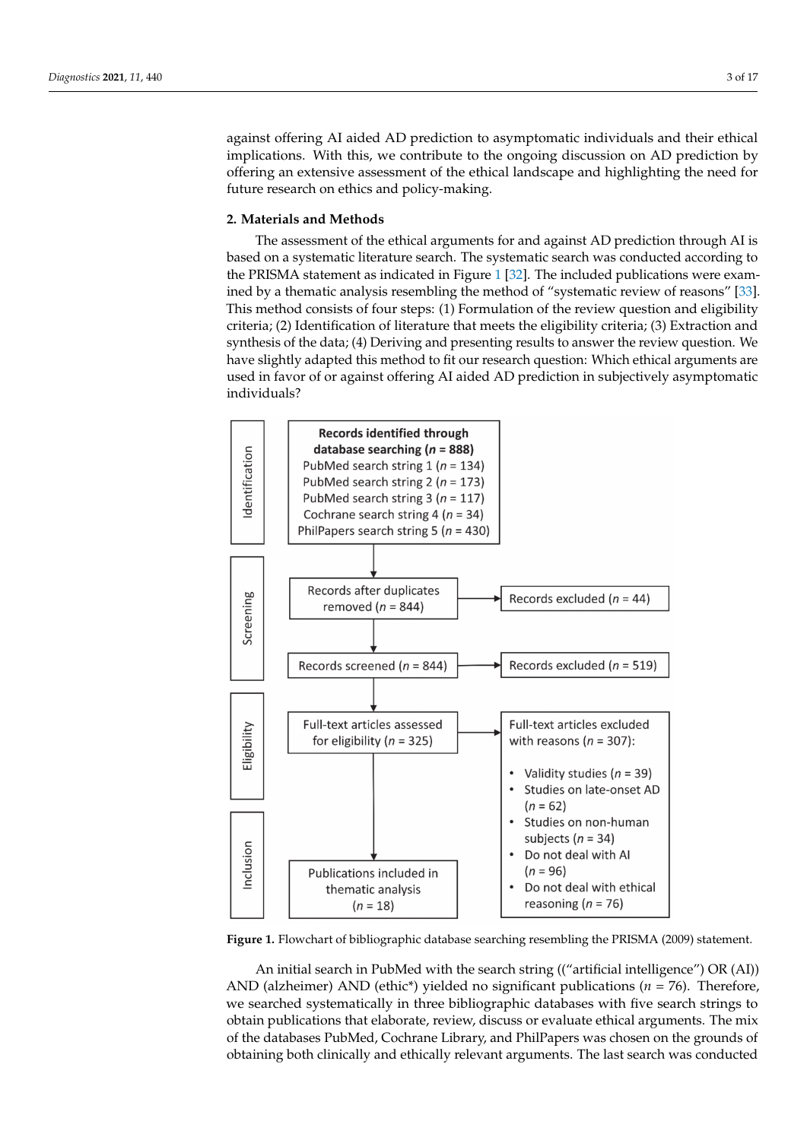against offering AI aided AD prediction to asymptomatic individuals and their ethical implications. With this, we contribute to the ongoing discussion on AD prediction by offering an extensive assessment of the ethical landscape and highlighting the need for future research on ethics and policy-making.

# **2. Materials and Methods**

The assessment of the ethical arguments for and against AD prediction through AI is based on a systematic literature search. The systematic search was conducted according to the PRISMA statement as indicated in Figure [1](#page-2-0) [\[32\]](#page-14-21). The included publications were examined by a thematic analysis resembling the method of "systematic review of reasons" [\[33\]](#page-14-22). This method consists of four steps: (1) Formulation of the review question and eligibility criteria; (2) Identification of literature that meets the eligibility criteria; (3) Extraction and synthesis of the data; (4) Deriving and presenting results to answer the review question. We have slightly adapted this method to fit our research question: Which ethical arguments are used in favor of or against offering AI aided AD prediction in subjectively asymptomatic individuals?

<span id="page-2-0"></span>

**Figure 1.** Flowchart of bibliographic database searching resembling the PRISMA (2009) statement.

An initial search in PubMed with the search string (("artificial intelligence") OR (AI)) AND (alzheimer) AND (ethic\*) yielded no significant publications (*n* = 76). Therefore, we searched systematically in three bibliographic databases with five search strings to obtain publications that elaborate, review, discuss or evaluate ethical arguments. The mix of the databases PubMed, Cochrane Library, and PhilPapers was chosen on the grounds of obtaining both clinically and ethically relevant arguments. The last search was conducted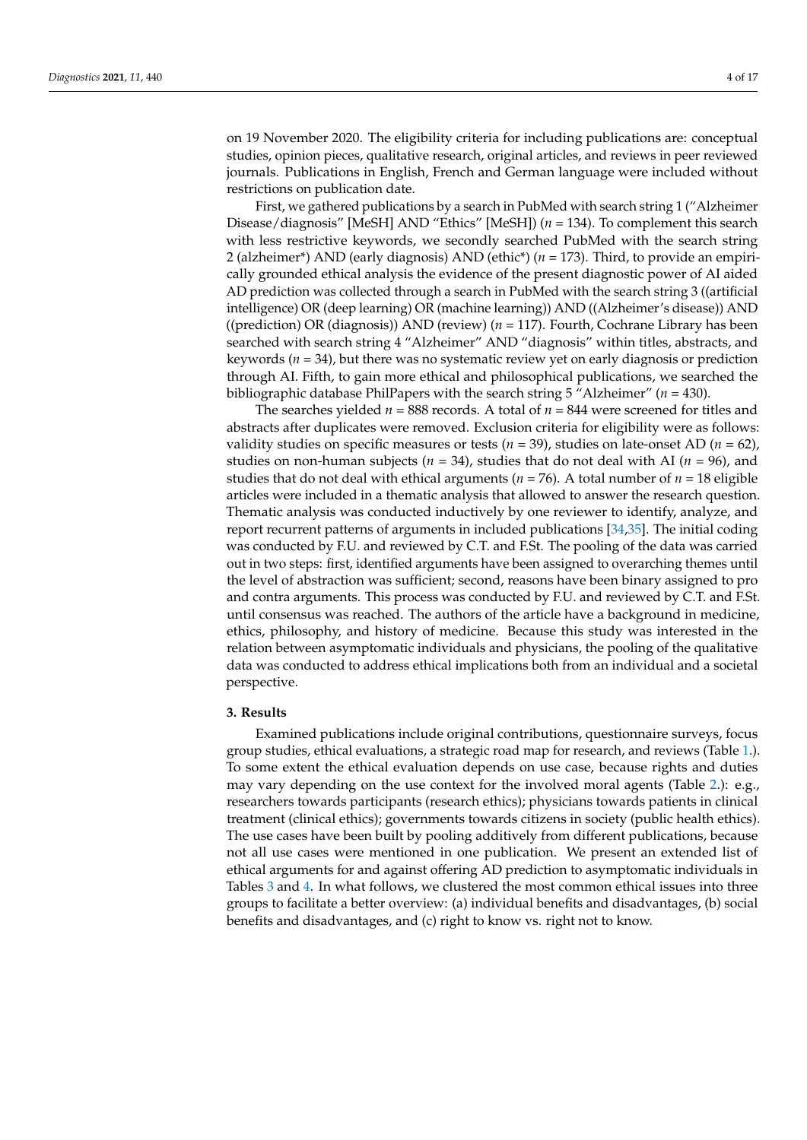on 19 November 2020. The eligibility criteria for including publications are: conceptual studies, opinion pieces, qualitative research, original articles, and reviews in peer reviewed journals. Publications in English, French and German language were included without restrictions on publication date.

First, we gathered publications by a search in PubMed with search string 1 ("Alzheimer Disease/diagnosis" [MeSH] AND "Ethics" [MeSH]) (*n* = 134). To complement this search with less restrictive keywords, we secondly searched PubMed with the search string 2 (alzheimer\*) AND (early diagnosis) AND (ethic\*) (*n* = 173). Third, to provide an empirically grounded ethical analysis the evidence of the present diagnostic power of AI aided AD prediction was collected through a search in PubMed with the search string 3 ((artificial intelligence) OR (deep learning) OR (machine learning)) AND ((Alzheimer's disease)) AND ((prediction) OR (diagnosis)) AND (review) (*n* = 117). Fourth, Cochrane Library has been searched with search string 4 "Alzheimer" AND "diagnosis" within titles, abstracts, and keywords (*n* = 34), but there was no systematic review yet on early diagnosis or prediction through AI. Fifth, to gain more ethical and philosophical publications, we searched the bibliographic database PhilPapers with the search string 5 "Alzheimer" (*n* = 430).

The searches yielded  $n = 888$  records. A total of  $n = 844$  were screened for titles and abstracts after duplicates were removed. Exclusion criteria for eligibility were as follows: validity studies on specific measures or tests  $(n = 39)$ , studies on late-onset AD  $(n = 62)$ , studies on non-human subjects (*n* = 34), studies that do not deal with AI (*n* = 96), and studies that do not deal with ethical arguments ( $n = 76$ ). A total number of  $n = 18$  eligible articles were included in a thematic analysis that allowed to answer the research question. Thematic analysis was conducted inductively by one reviewer to identify, analyze, and report recurrent patterns of arguments in included publications [\[34](#page-14-23)[,35\]](#page-14-24). The initial coding was conducted by F.U. and reviewed by C.T. and F.St. The pooling of the data was carried out in two steps: first, identified arguments have been assigned to overarching themes until the level of abstraction was sufficient; second, reasons have been binary assigned to pro and contra arguments. This process was conducted by F.U. and reviewed by C.T. and F.St. until consensus was reached. The authors of the article have a background in medicine, ethics, philosophy, and history of medicine. Because this study was interested in the relation between asymptomatic individuals and physicians, the pooling of the qualitative data was conducted to address ethical implications both from an individual and a societal perspective.

## **3. Results**

Examined publications include original contributions, questionnaire surveys, focus group studies, ethical evaluations, a strategic road map for research, and reviews (Table [1.](#page-4-0)). To some extent the ethical evaluation depends on use case, because rights and duties may vary depending on the use context for the involved moral agents (Table [2.](#page-5-0)): e.g., researchers towards participants (research ethics); physicians towards patients in clinical treatment (clinical ethics); governments towards citizens in society (public health ethics). The use cases have been built by pooling additively from different publications, because not all use cases were mentioned in one publication. We present an extended list of ethical arguments for and against offering AD prediction to asymptomatic individuals in Tables [3](#page-5-1) and [4.](#page-6-0) In what follows, we clustered the most common ethical issues into three groups to facilitate a better overview: (a) individual benefits and disadvantages, (b) social benefits and disadvantages, and (c) right to know vs. right not to know.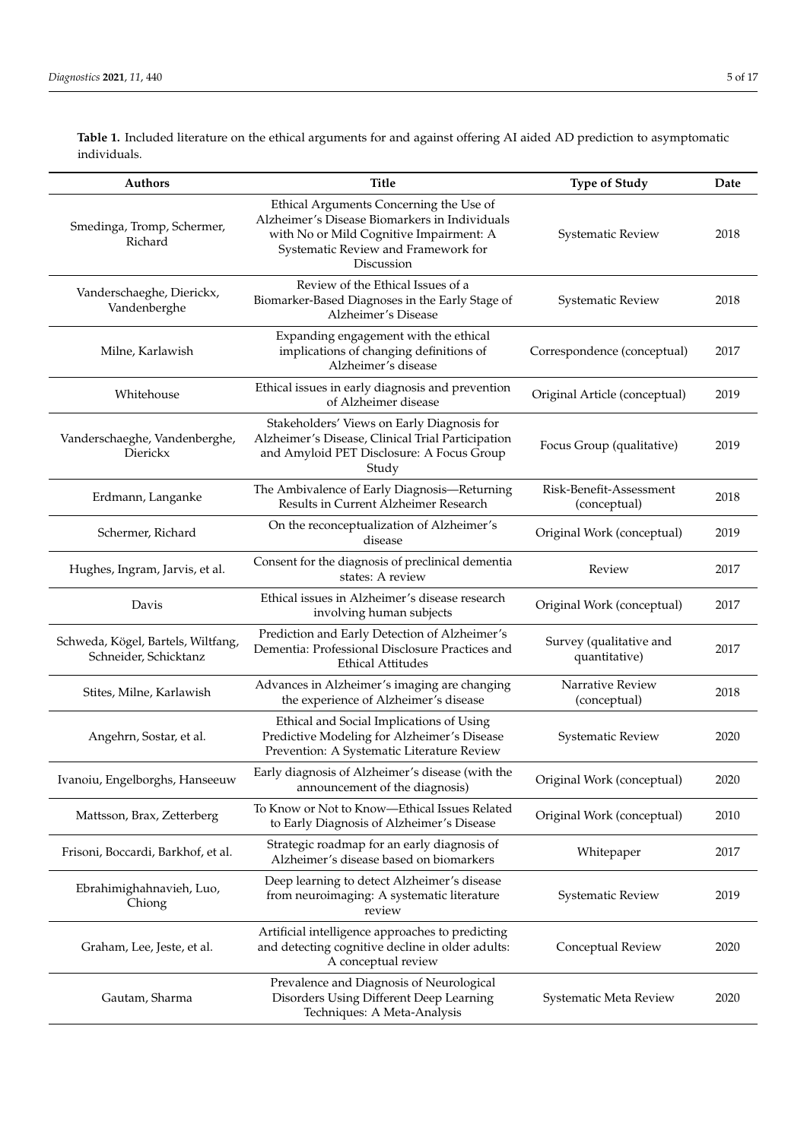<span id="page-4-0"></span>**Table 1.** Included literature on the ethical arguments for and against offering AI aided AD prediction to asymptomatic individuals.

| Authors                                                     | <b>Title</b>                                                                                                                                                                             | <b>Type of Study</b>                     | Date |
|-------------------------------------------------------------|------------------------------------------------------------------------------------------------------------------------------------------------------------------------------------------|------------------------------------------|------|
| Smedinga, Tromp, Schermer,<br>Richard                       | Ethical Arguments Concerning the Use of<br>Alzheimer's Disease Biomarkers in Individuals<br>with No or Mild Cognitive Impairment: A<br>Systematic Review and Framework for<br>Discussion | Systematic Review                        | 2018 |
| Vanderschaeghe, Dierickx,<br>Vandenberghe                   | Review of the Ethical Issues of a<br>Biomarker-Based Diagnoses in the Early Stage of<br>Alzheimer's Disease                                                                              | Systematic Review                        | 2018 |
| Milne, Karlawish                                            | Expanding engagement with the ethical<br>implications of changing definitions of<br>Correspondence (conceptual)<br>Alzheimer's disease                                                   |                                          | 2017 |
| Whitehouse                                                  | Ethical issues in early diagnosis and prevention<br>of Alzheimer disease                                                                                                                 | Original Article (conceptual)            | 2019 |
| Vanderschaeghe, Vandenberghe,<br>Dierickx                   | Stakeholders' Views on Early Diagnosis for<br>Alzheimer's Disease, Clinical Trial Participation<br>and Amyloid PET Disclosure: A Focus Group<br>Study                                    | Focus Group (qualitative)                | 2019 |
| Erdmann, Langanke                                           | The Ambivalence of Early Diagnosis-Returning<br>Results in Current Alzheimer Research                                                                                                    | Risk-Benefit-Assessment<br>(conceptual)  | 2018 |
| Schermer, Richard                                           | On the reconceptualization of Alzheimer's<br>disease                                                                                                                                     | Original Work (conceptual)               | 2019 |
| Hughes, Ingram, Jarvis, et al.                              | Consent for the diagnosis of preclinical dementia<br>states: A review                                                                                                                    | Review                                   | 2017 |
| Davis                                                       | Ethical issues in Alzheimer's disease research<br>involving human subjects                                                                                                               | Original Work (conceptual)               | 2017 |
| Schweda, Kögel, Bartels, Wiltfang,<br>Schneider, Schicktanz | Prediction and Early Detection of Alzheimer's<br>Dementia: Professional Disclosure Practices and<br><b>Ethical Attitudes</b>                                                             | Survey (qualitative and<br>quantitative) | 2017 |
| Stites, Milne, Karlawish                                    | Advances in Alzheimer's imaging are changing<br>the experience of Alzheimer's disease                                                                                                    | Narrative Review<br>(conceptual)         | 2018 |
| Angehrn, Sostar, et al.                                     | Ethical and Social Implications of Using<br>Predictive Modeling for Alzheimer's Disease<br>Prevention: A Systematic Literature Review                                                    | Systematic Review                        | 2020 |
| Ivanoiu, Engelborghs, Hanseeuw                              | Early diagnosis of Alzheimer's disease (with the<br>announcement of the diagnosis)                                                                                                       | Original Work (conceptual)               | 2020 |
| Mattsson, Brax, Zetterberg                                  | To Know or Not to Know-Ethical Issues Related<br>to Early Diagnosis of Alzheimer's Disease                                                                                               | Original Work (conceptual)               | 2010 |
| Frisoni, Boccardi, Barkhof, et al.                          | Strategic roadmap for an early diagnosis of<br>Alzheimer's disease based on biomarkers                                                                                                   | Whitepaper                               | 2017 |
| Ebrahimighahnavieh, Luo,<br>Chiong                          | Deep learning to detect Alzheimer's disease<br>from neuroimaging: A systematic literature<br>review                                                                                      | Systematic Review                        | 2019 |
| Graham, Lee, Jeste, et al.                                  | Artificial intelligence approaches to predicting<br>and detecting cognitive decline in older adults:<br>Conceptual Review<br>A conceptual review                                         |                                          | 2020 |
| Gautam, Sharma                                              | Prevalence and Diagnosis of Neurological<br>Disorders Using Different Deep Learning<br>Techniques: A Meta-Analysis                                                                       | Systematic Meta Review                   | 2020 |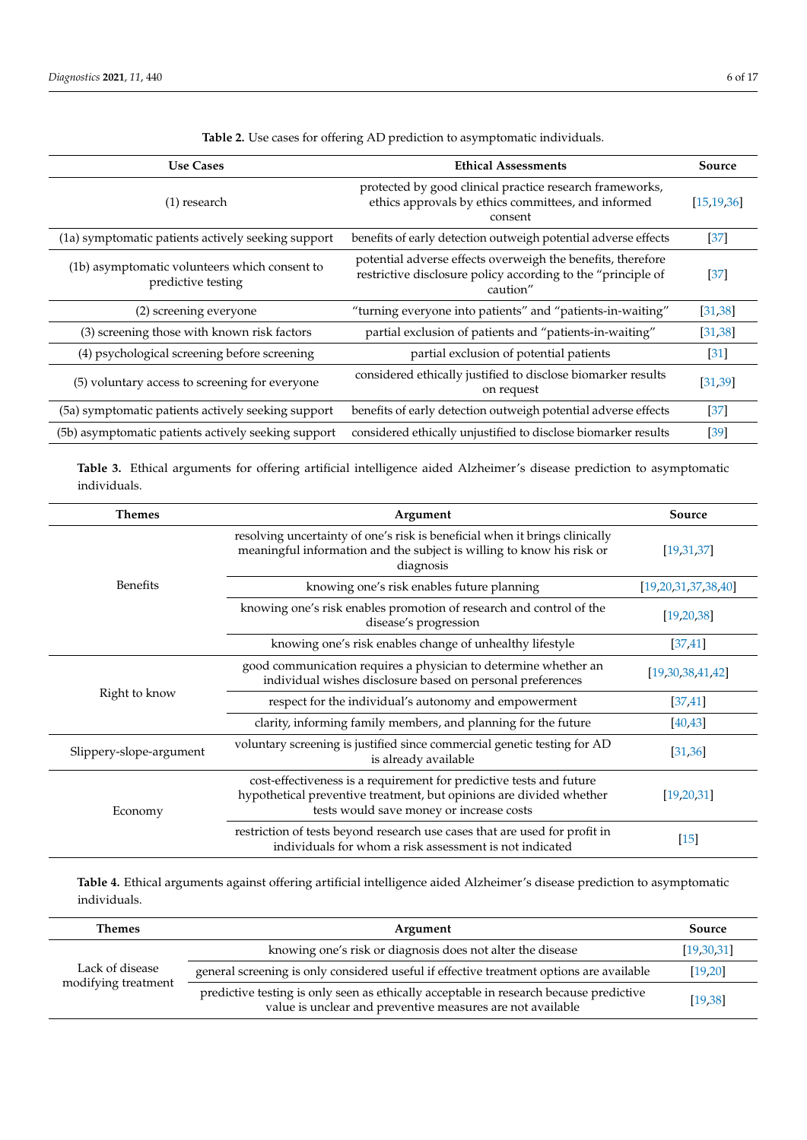<span id="page-5-0"></span>

| <b>Use Cases</b>                                                    | <b>Ethical Assessments</b>                                                                                                              | Source            |
|---------------------------------------------------------------------|-----------------------------------------------------------------------------------------------------------------------------------------|-------------------|
| (1) research                                                        | protected by good clinical practice research frameworks,<br>ethics approvals by ethics committees, and informed<br>consent              | [15, 19, 36]      |
| (1a) symptomatic patients actively seeking support                  | benefits of early detection outweigh potential adverse effects                                                                          | $[37]$            |
| (1b) asymptomatic volunteers which consent to<br>predictive testing | potential adverse effects overweigh the benefits, therefore<br>restrictive disclosure policy according to the "principle of<br>caution" | $[37]$            |
| (2) screening everyone                                              | "turning everyone into patients" and "patients-in-waiting"                                                                              | [31, 38]          |
| (3) screening those with known risk factors                         | partial exclusion of patients and "patients-in-waiting"                                                                                 | [31, 38]          |
| (4) psychological screening before screening                        | partial exclusion of potential patients                                                                                                 | $\left[31\right]$ |
| (5) voluntary access to screening for everyone                      | considered ethically justified to disclose biomarker results<br>on request                                                              | [31, 39]          |
| (5a) symptomatic patients actively seeking support                  | benefits of early detection outweigh potential adverse effects                                                                          | $[37]$            |
| (5b) asymptomatic patients actively seeking support                 | considered ethically unjustified to disclose biomarker results                                                                          | [39]              |

**Table 2.** Use cases for offering AD prediction to asymptomatic individuals.

<span id="page-5-1"></span>**Table 3.** Ethical arguments for offering artificial intelligence aided Alzheimer's disease prediction to asymptomatic individuals.

| Themes                  | Argument                                                                                                                                                                               | Source                   |
|-------------------------|----------------------------------------------------------------------------------------------------------------------------------------------------------------------------------------|--------------------------|
| <b>Benefits</b>         | resolving uncertainty of one's risk is beneficial when it brings clinically<br>meaningful information and the subject is willing to know his risk or<br>diagnosis                      | [19,31,37]               |
|                         | knowing one's risk enables future planning                                                                                                                                             | [19, 20, 31, 37, 38, 40] |
|                         | knowing one's risk enables promotion of research and control of the<br>disease's progression                                                                                           | [19, 20, 38]             |
|                         | knowing one's risk enables change of unhealthy lifestyle                                                                                                                               | [37, 41]                 |
| Right to know           | good communication requires a physician to determine whether an<br>individual wishes disclosure based on personal preferences                                                          | [19,30,38,41,42]         |
|                         | respect for the individual's autonomy and empowerment                                                                                                                                  | [37, 41]                 |
|                         | clarity, informing family members, and planning for the future                                                                                                                         | [40, 43]                 |
| Slippery-slope-argument | voluntary screening is justified since commercial genetic testing for AD<br>is already available                                                                                       |                          |
| Economy                 | cost-effectiveness is a requirement for predictive tests and future<br>hypothetical preventive treatment, but opinions are divided whether<br>tests would save money or increase costs | [19, 20, 31]             |
|                         | restriction of tests beyond research use cases that are used for profit in<br>individuals for whom a risk assessment is not indicated                                                  | $[15]$                   |

**Table 4.** Ethical arguments against offering artificial intelligence aided Alzheimer's disease prediction to asymptomatic individuals.

| <b>Themes</b>                          | Argument                                                                                                                                             | Source     |
|----------------------------------------|------------------------------------------------------------------------------------------------------------------------------------------------------|------------|
| Lack of disease<br>modifying treatment | knowing one's risk or diagnosis does not alter the disease                                                                                           | [19,30,31] |
|                                        | general screening is only considered useful if effective treatment options are available                                                             | [19, 20]   |
|                                        | predictive testing is only seen as ethically acceptable in research because predictive<br>value is unclear and preventive measures are not available | [19, 38]   |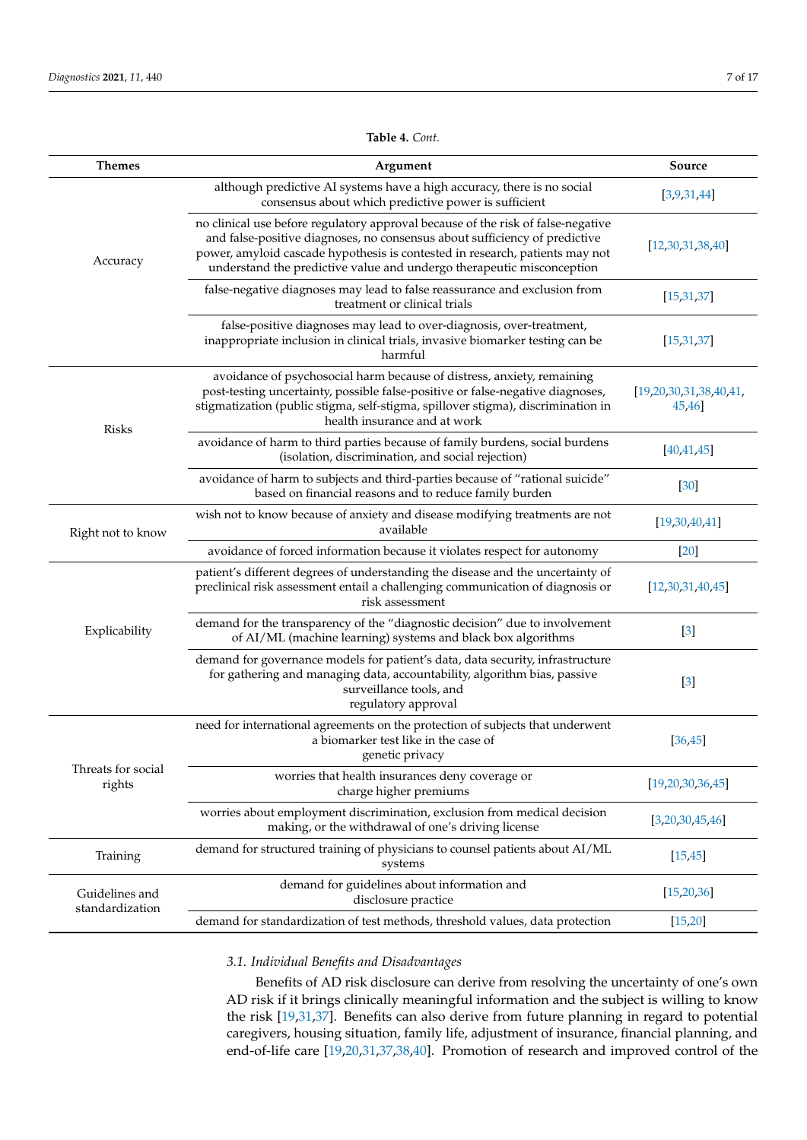<span id="page-6-0"></span>

| <b>Themes</b>                     | Argument                                                                                                                                                                                                                                                                                                                | Source                           |
|-----------------------------------|-------------------------------------------------------------------------------------------------------------------------------------------------------------------------------------------------------------------------------------------------------------------------------------------------------------------------|----------------------------------|
| Accuracy                          | although predictive AI systems have a high accuracy, there is no social<br>consensus about which predictive power is sufficient                                                                                                                                                                                         | [3,9,31,44]                      |
|                                   | no clinical use before regulatory approval because of the risk of false-negative<br>and false-positive diagnoses, no consensus about sufficiency of predictive<br>power, amyloid cascade hypothesis is contested in research, patients may not<br>understand the predictive value and undergo therapeutic misconception | [12,30,31,38,40]                 |
|                                   | false-negative diagnoses may lead to false reassurance and exclusion from<br>treatment or clinical trials                                                                                                                                                                                                               | [15, 31, 37]                     |
|                                   | false-positive diagnoses may lead to over-diagnosis, over-treatment,<br>inappropriate inclusion in clinical trials, invasive biomarker testing can be<br>harmful                                                                                                                                                        | [15, 31, 37]                     |
| <b>Risks</b>                      | avoidance of psychosocial harm because of distress, anxiety, remaining<br>post-testing uncertainty, possible false-positive or false-negative diagnoses,<br>stigmatization (public stigma, self-stigma, spillover stigma), discrimination in<br>health insurance and at work                                            | [19,20,30,31,38,40,41]<br>45,46] |
|                                   | avoidance of harm to third parties because of family burdens, social burdens<br>(isolation, discrimination, and social rejection)                                                                                                                                                                                       | [40, 41, 45]                     |
|                                   | avoidance of harm to subjects and third-parties because of "rational suicide"<br>based on financial reasons and to reduce family burden                                                                                                                                                                                 | $[30]$                           |
| Right not to know                 | wish not to know because of anxiety and disease modifying treatments are not<br>available                                                                                                                                                                                                                               | [19,30,40,41]                    |
|                                   | avoidance of forced information because it violates respect for autonomy                                                                                                                                                                                                                                                | $[20]$                           |
|                                   | patient's different degrees of understanding the disease and the uncertainty of<br>preclinical risk assessment entail a challenging communication of diagnosis or<br>risk assessment                                                                                                                                    | [12,30,31,40,45]                 |
| Explicability                     | demand for the transparency of the "diagnostic decision" due to involvement<br>of AI/ML (machine learning) systems and black box algorithms                                                                                                                                                                             | $[3]$                            |
|                                   | demand for governance models for patient's data, data security, infrastructure<br>for gathering and managing data, accountability, algorithm bias, passive<br>surveillance tools, and<br>regulatory approval                                                                                                            | $[3]$                            |
| Threats for social<br>rights      | need for international agreements on the protection of subjects that underwent<br>a biomarker test like in the case of<br>genetic privacy                                                                                                                                                                               | [36, 45]                         |
|                                   | worries that health insurances deny coverage or<br>charge higher premiums                                                                                                                                                                                                                                               | [19,20,30,36,45]                 |
|                                   | worries about employment discrimination, exclusion from medical decision<br>making, or the withdrawal of one's driving license                                                                                                                                                                                          | [3,20,30,45,46]                  |
| Training                          | demand for structured training of physicians to counsel patients about AI/ML<br>systems                                                                                                                                                                                                                                 | [15, 45]                         |
| Guidelines and<br>standardization | demand for guidelines about information and<br>disclosure practice                                                                                                                                                                                                                                                      | [15, 20, 36]                     |
|                                   | demand for standardization of test methods, threshold values, data protection                                                                                                                                                                                                                                           | [15, 20]                         |

**Table 4.** *Cont.*

# *3.1. Individual Benefits and Disadvantages*

Benefits of AD risk disclosure can derive from resolving the uncertainty of one's own AD risk if it brings clinically meaningful information and the subject is willing to know the risk [\[19](#page-14-10)[,31](#page-14-20)[,37\]](#page-14-26). Benefits can also derive from future planning in regard to potential caregivers, housing situation, family life, adjustment of insurance, financial planning, and end-of-life care [\[19](#page-14-10)[,20](#page-14-11)[,31](#page-14-20)[,37](#page-14-26)[,38](#page-14-27)[,40\]](#page-15-1). Promotion of research and improved control of the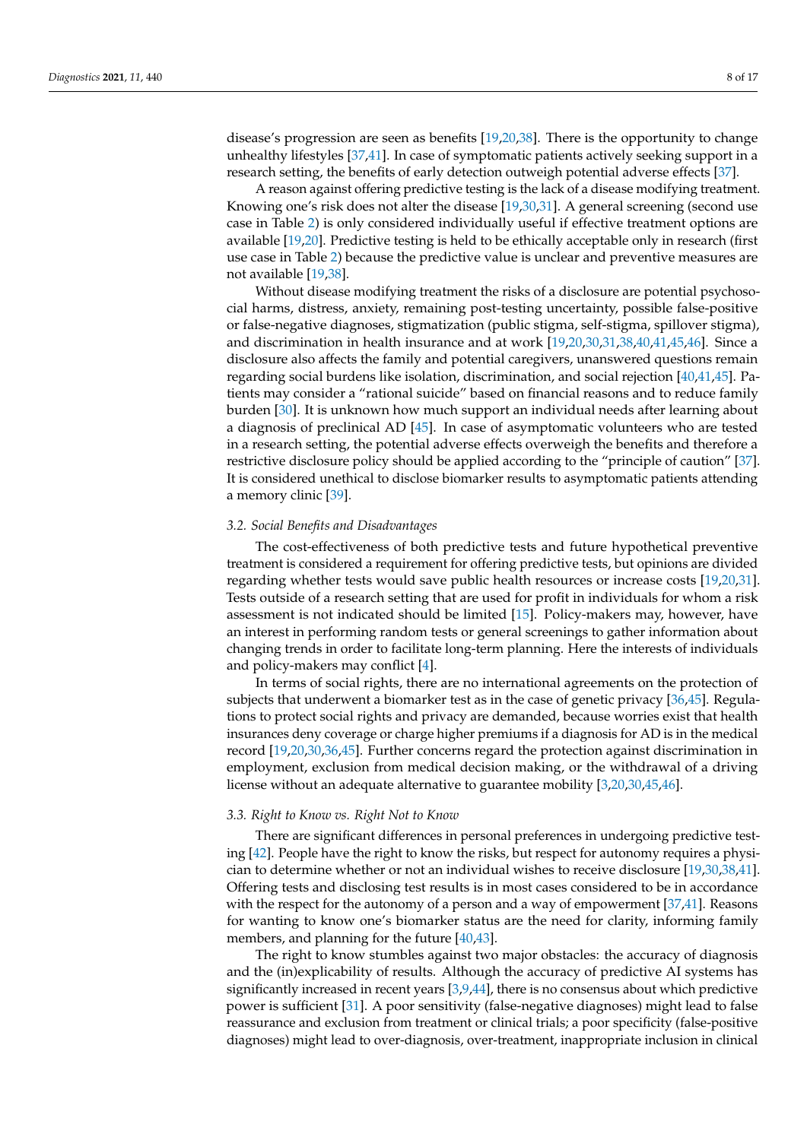disease's progression are seen as benefits [\[19,](#page-14-10)[20,](#page-14-11)[38\]](#page-14-27). There is the opportunity to change unhealthy lifestyles [\[37](#page-14-26)[,41\]](#page-15-2). In case of symptomatic patients actively seeking support in a research setting, the benefits of early detection outweigh potential adverse effects [\[37\]](#page-14-26).

A reason against offering predictive testing is the lack of a disease modifying treatment. Knowing one's risk does not alter the disease [\[19,](#page-14-10)[30](#page-14-19)[,31\]](#page-14-20). A general screening (second use case in Table [2\)](#page-5-0) is only considered individually useful if effective treatment options are available [\[19](#page-14-10)[,20\]](#page-14-11). Predictive testing is held to be ethically acceptable only in research (first use case in Table [2\)](#page-5-0) because the predictive value is unclear and preventive measures are not available [\[19,](#page-14-10)[38\]](#page-14-27).

Without disease modifying treatment the risks of a disclosure are potential psychosocial harms, distress, anxiety, remaining post-testing uncertainty, possible false-positive or false-negative diagnoses, stigmatization (public stigma, self-stigma, spillover stigma), and discrimination in health insurance and at work [\[19,](#page-14-10)[20,](#page-14-11)[30,](#page-14-19)[31,](#page-14-20)[38,](#page-14-27)[40,](#page-15-1)[41,](#page-15-2)[45,](#page-15-6)[46\]](#page-15-7). Since a disclosure also affects the family and potential caregivers, unanswered questions remain regarding social burdens like isolation, discrimination, and social rejection [\[40,](#page-15-1)[41,](#page-15-2)[45\]](#page-15-6). Patients may consider a "rational suicide" based on financial reasons and to reduce family burden [\[30\]](#page-14-19). It is unknown how much support an individual needs after learning about a diagnosis of preclinical AD [\[45\]](#page-15-6). In case of asymptomatic volunteers who are tested in a research setting, the potential adverse effects overweigh the benefits and therefore a restrictive disclosure policy should be applied according to the "principle of caution" [\[37\]](#page-14-26). It is considered unethical to disclose biomarker results to asymptomatic patients attending a memory clinic [\[39\]](#page-15-0).

# *3.2. Social Benefits and Disadvantages*

The cost-effectiveness of both predictive tests and future hypothetical preventive treatment is considered a requirement for offering predictive tests, but opinions are divided regarding whether tests would save public health resources or increase costs [\[19,](#page-14-10)[20,](#page-14-11)[31\]](#page-14-20). Tests outside of a research setting that are used for profit in individuals for whom a risk assessment is not indicated should be limited [\[15\]](#page-14-6). Policy-makers may, however, have an interest in performing random tests or general screenings to gather information about changing trends in order to facilitate long-term planning. Here the interests of individuals and policy-makers may conflict [\[4\]](#page-13-3).

In terms of social rights, there are no international agreements on the protection of subjects that underwent a biomarker test as in the case of genetic privacy [\[36,](#page-14-25)[45\]](#page-15-6). Regulations to protect social rights and privacy are demanded, because worries exist that health insurances deny coverage or charge higher premiums if a diagnosis for AD is in the medical record [\[19,](#page-14-10)[20,](#page-14-11)[30,](#page-14-19)[36,](#page-14-25)[45\]](#page-15-6). Further concerns regard the protection against discrimination in employment, exclusion from medical decision making, or the withdrawal of a driving license without an adequate alternative to guarantee mobility [\[3,](#page-13-2)[20](#page-14-11)[,30](#page-14-19)[,45](#page-15-6)[,46\]](#page-15-7).

## *3.3. Right to Know vs. Right Not to Know*

There are significant differences in personal preferences in undergoing predictive testing [\[42\]](#page-15-3). People have the right to know the risks, but respect for autonomy requires a physician to determine whether or not an individual wishes to receive disclosure [\[19](#page-14-10)[,30](#page-14-19)[,38,](#page-14-27)[41\]](#page-15-2). Offering tests and disclosing test results is in most cases considered to be in accordance with the respect for the autonomy of a person and a way of empowerment [\[37,](#page-14-26)[41\]](#page-15-2). Reasons for wanting to know one's biomarker status are the need for clarity, informing family members, and planning for the future [\[40](#page-15-1)[,43\]](#page-15-4).

The right to know stumbles against two major obstacles: the accuracy of diagnosis and the (in)explicability of results. Although the accuracy of predictive AI systems has significantly increased in recent years [\[3](#page-13-2)[,9,](#page-14-1)[44\]](#page-15-5), there is no consensus about which predictive power is sufficient [\[31\]](#page-14-20). A poor sensitivity (false-negative diagnoses) might lead to false reassurance and exclusion from treatment or clinical trials; a poor specificity (false-positive diagnoses) might lead to over-diagnosis, over-treatment, inappropriate inclusion in clinical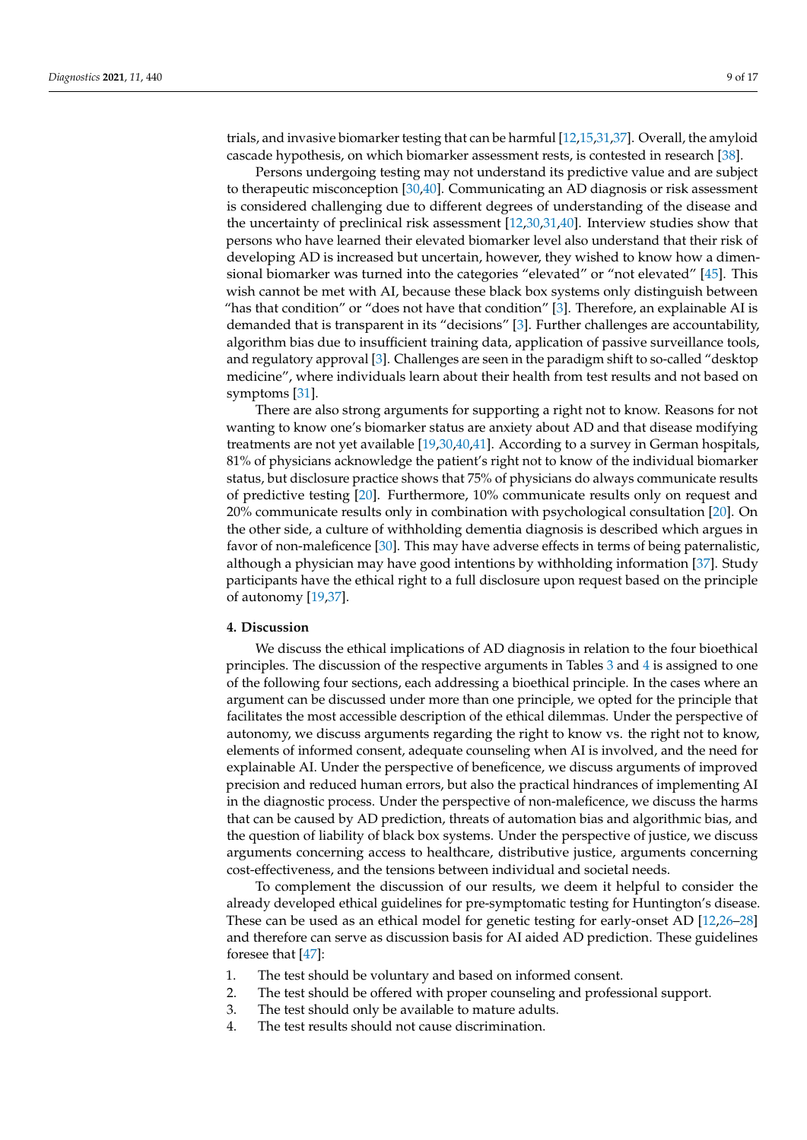trials, and invasive biomarker testing that can be harmful [\[12](#page-14-4)[,15](#page-14-6)[,31,](#page-14-20)[37\]](#page-14-26). Overall, the amyloid cascade hypothesis, on which biomarker assessment rests, is contested in research [\[38\]](#page-14-27).

Persons undergoing testing may not understand its predictive value and are subject to therapeutic misconception [\[30](#page-14-19)[,40\]](#page-15-1). Communicating an AD diagnosis or risk assessment is considered challenging due to different degrees of understanding of the disease and the uncertainty of preclinical risk assessment [\[12](#page-14-4)[,30](#page-14-19)[,31](#page-14-20)[,40\]](#page-15-1). Interview studies show that persons who have learned their elevated biomarker level also understand that their risk of developing AD is increased but uncertain, however, they wished to know how a dimen-sional biomarker was turned into the categories "elevated" or "not elevated" [\[45\]](#page-15-6). This wish cannot be met with AI, because these black box systems only distinguish between "has that condition" or "does not have that condition" [\[3\]](#page-13-2). Therefore, an explainable AI is demanded that is transparent in its "decisions" [\[3\]](#page-13-2). Further challenges are accountability, algorithm bias due to insufficient training data, application of passive surveillance tools, and regulatory approval [\[3\]](#page-13-2). Challenges are seen in the paradigm shift to so-called "desktop medicine", where individuals learn about their health from test results and not based on symptoms [\[31\]](#page-14-20).

There are also strong arguments for supporting a right not to know. Reasons for not wanting to know one's biomarker status are anxiety about AD and that disease modifying treatments are not yet available [\[19,](#page-14-10)[30,](#page-14-19)[40,](#page-15-1)[41\]](#page-15-2). According to a survey in German hospitals, 81% of physicians acknowledge the patient's right not to know of the individual biomarker status, but disclosure practice shows that 75% of physicians do always communicate results of predictive testing [\[20\]](#page-14-11). Furthermore, 10% communicate results only on request and 20% communicate results only in combination with psychological consultation [\[20\]](#page-14-11). On the other side, a culture of withholding dementia diagnosis is described which argues in favor of non-maleficence [\[30\]](#page-14-19). This may have adverse effects in terms of being paternalistic, although a physician may have good intentions by withholding information [\[37\]](#page-14-26). Study participants have the ethical right to a full disclosure upon request based on the principle of autonomy [\[19,](#page-14-10)[37\]](#page-14-26).

# **4. Discussion**

We discuss the ethical implications of AD diagnosis in relation to the four bioethical principles. The discussion of the respective arguments in Tables [3](#page-5-1) and [4](#page-6-0) is assigned to one of the following four sections, each addressing a bioethical principle. In the cases where an argument can be discussed under more than one principle, we opted for the principle that facilitates the most accessible description of the ethical dilemmas. Under the perspective of autonomy, we discuss arguments regarding the right to know vs. the right not to know, elements of informed consent, adequate counseling when AI is involved, and the need for explainable AI. Under the perspective of beneficence, we discuss arguments of improved precision and reduced human errors, but also the practical hindrances of implementing AI in the diagnostic process. Under the perspective of non-maleficence, we discuss the harms that can be caused by AD prediction, threats of automation bias and algorithmic bias, and the question of liability of black box systems. Under the perspective of justice, we discuss arguments concerning access to healthcare, distributive justice, arguments concerning cost-effectiveness, and the tensions between individual and societal needs.

To complement the discussion of our results, we deem it helpful to consider the already developed ethical guidelines for pre-symptomatic testing for Huntington's disease. These can be used as an ethical model for genetic testing for early-onset AD [\[12](#page-14-4)[,26–](#page-14-16)[28\]](#page-14-17) and therefore can serve as discussion basis for AI aided AD prediction. These guidelines foresee that [\[47\]](#page-15-8):

- 1. The test should be voluntary and based on informed consent.
- 2. The test should be offered with proper counseling and professional support.
- 3. The test should only be available to mature adults.
- 4. The test results should not cause discrimination.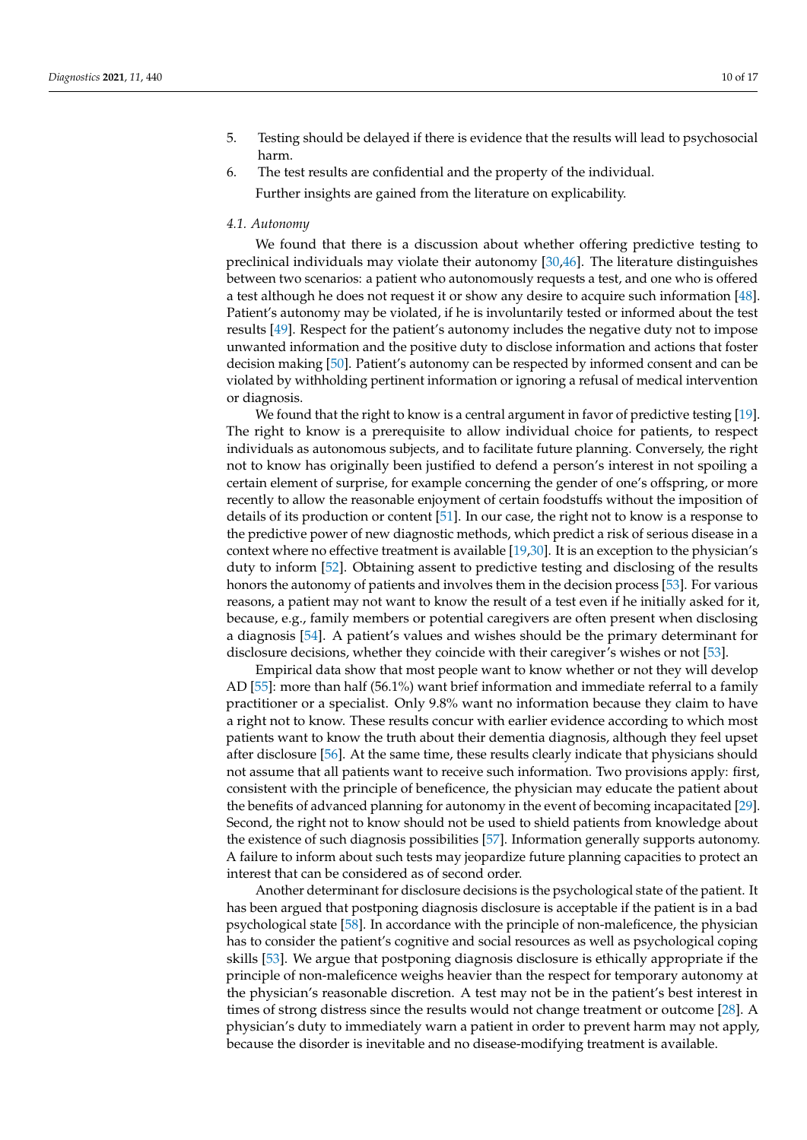- 5. Testing should be delayed if there is evidence that the results will lead to psychosocial harm.
- 6. The test results are confidential and the property of the individual. Further insights are gained from the literature on explicability.

#### *4.1. Autonomy*

We found that there is a discussion about whether offering predictive testing to preclinical individuals may violate their autonomy [\[30](#page-14-19)[,46\]](#page-15-7). The literature distinguishes between two scenarios: a patient who autonomously requests a test, and one who is offered a test although he does not request it or show any desire to acquire such information [\[48\]](#page-15-9). Patient's autonomy may be violated, if he is involuntarily tested or informed about the test results [\[49\]](#page-15-10). Respect for the patient's autonomy includes the negative duty not to impose unwanted information and the positive duty to disclose information and actions that foster decision making [\[50\]](#page-15-11). Patient's autonomy can be respected by informed consent and can be violated by withholding pertinent information or ignoring a refusal of medical intervention or diagnosis.

We found that the right to know is a central argument in favor of predictive testing [\[19\]](#page-14-10). The right to know is a prerequisite to allow individual choice for patients, to respect individuals as autonomous subjects, and to facilitate future planning. Conversely, the right not to know has originally been justified to defend a person's interest in not spoiling a certain element of surprise, for example concerning the gender of one's offspring, or more recently to allow the reasonable enjoyment of certain foodstuffs without the imposition of details of its production or content [\[51\]](#page-15-12). In our case, the right not to know is a response to the predictive power of new diagnostic methods, which predict a risk of serious disease in a context where no effective treatment is available [\[19](#page-14-10)[,30\]](#page-14-19). It is an exception to the physician's duty to inform [\[52\]](#page-15-13). Obtaining assent to predictive testing and disclosing of the results honors the autonomy of patients and involves them in the decision process [\[53\]](#page-15-14). For various reasons, a patient may not want to know the result of a test even if he initially asked for it, because, e.g., family members or potential caregivers are often present when disclosing a diagnosis [\[54\]](#page-15-15). A patient's values and wishes should be the primary determinant for disclosure decisions, whether they coincide with their caregiver's wishes or not [\[53\]](#page-15-14).

Empirical data show that most people want to know whether or not they will develop AD [\[55\]](#page-15-16): more than half (56.1%) want brief information and immediate referral to a family practitioner or a specialist. Only 9.8% want no information because they claim to have a right not to know. These results concur with earlier evidence according to which most patients want to know the truth about their dementia diagnosis, although they feel upset after disclosure [\[56\]](#page-15-17). At the same time, these results clearly indicate that physicians should not assume that all patients want to receive such information. Two provisions apply: first, consistent with the principle of beneficence, the physician may educate the patient about the benefits of advanced planning for autonomy in the event of becoming incapacitated [\[29\]](#page-14-18). Second, the right not to know should not be used to shield patients from knowledge about the existence of such diagnosis possibilities [\[57\]](#page-15-18). Information generally supports autonomy. A failure to inform about such tests may jeopardize future planning capacities to protect an interest that can be considered as of second order.

Another determinant for disclosure decisions is the psychological state of the patient. It has been argued that postponing diagnosis disclosure is acceptable if the patient is in a bad psychological state [\[58\]](#page-15-19). In accordance with the principle of non-maleficence, the physician has to consider the patient's cognitive and social resources as well as psychological coping skills [\[53\]](#page-15-14). We argue that postponing diagnosis disclosure is ethically appropriate if the principle of non-maleficence weighs heavier than the respect for temporary autonomy at the physician's reasonable discretion. A test may not be in the patient's best interest in times of strong distress since the results would not change treatment or outcome [\[28\]](#page-14-17). A physician's duty to immediately warn a patient in order to prevent harm may not apply, because the disorder is inevitable and no disease-modifying treatment is available.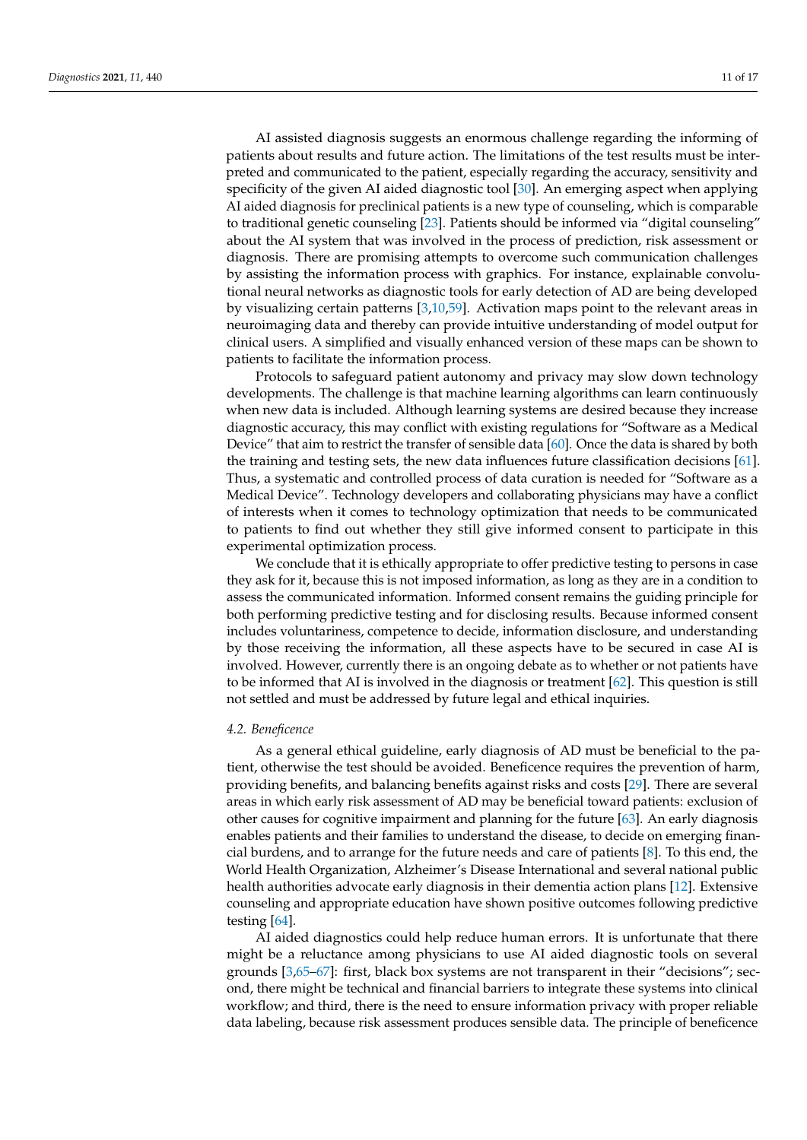AI assisted diagnosis suggests an enormous challenge regarding the informing of patients about results and future action. The limitations of the test results must be interpreted and communicated to the patient, especially regarding the accuracy, sensitivity and specificity of the given AI aided diagnostic tool [\[30\]](#page-14-19). An emerging aspect when applying AI aided diagnosis for preclinical patients is a new type of counseling, which is comparable to traditional genetic counseling [\[23\]](#page-14-13). Patients should be informed via "digital counseling" about the AI system that was involved in the process of prediction, risk assessment or diagnosis. There are promising attempts to overcome such communication challenges by assisting the information process with graphics. For instance, explainable convolutional neural networks as diagnostic tools for early detection of AD are being developed by visualizing certain patterns [\[3,](#page-13-2)[10,](#page-14-2)[59\]](#page-15-20). Activation maps point to the relevant areas in neuroimaging data and thereby can provide intuitive understanding of model output for clinical users. A simplified and visually enhanced version of these maps can be shown to patients to facilitate the information process.

Protocols to safeguard patient autonomy and privacy may slow down technology developments. The challenge is that machine learning algorithms can learn continuously when new data is included. Although learning systems are desired because they increase diagnostic accuracy, this may conflict with existing regulations for "Software as a Medical Device" that aim to restrict the transfer of sensible data [\[60\]](#page-15-21). Once the data is shared by both the training and testing sets, the new data influences future classification decisions [\[61\]](#page-15-22). Thus, a systematic and controlled process of data curation is needed for "Software as a Medical Device". Technology developers and collaborating physicians may have a conflict of interests when it comes to technology optimization that needs to be communicated to patients to find out whether they still give informed consent to participate in this experimental optimization process.

We conclude that it is ethically appropriate to offer predictive testing to persons in case they ask for it, because this is not imposed information, as long as they are in a condition to assess the communicated information. Informed consent remains the guiding principle for both performing predictive testing and for disclosing results. Because informed consent includes voluntariness, competence to decide, information disclosure, and understanding by those receiving the information, all these aspects have to be secured in case AI is involved. However, currently there is an ongoing debate as to whether or not patients have to be informed that AI is involved in the diagnosis or treatment [\[62\]](#page-15-23). This question is still not settled and must be addressed by future legal and ethical inquiries.

### *4.2. Beneficence*

As a general ethical guideline, early diagnosis of AD must be beneficial to the patient, otherwise the test should be avoided. Beneficence requires the prevention of harm, providing benefits, and balancing benefits against risks and costs [\[29\]](#page-14-18). There are several areas in which early risk assessment of AD may be beneficial toward patients: exclusion of other causes for cognitive impairment and planning for the future [\[63\]](#page-15-24). An early diagnosis enables patients and their families to understand the disease, to decide on emerging financial burdens, and to arrange for the future needs and care of patients [\[8\]](#page-14-0). To this end, the World Health Organization, Alzheimer's Disease International and several national public health authorities advocate early diagnosis in their dementia action plans [\[12\]](#page-14-4). Extensive counseling and appropriate education have shown positive outcomes following predictive testing [\[64\]](#page-15-25).

AI aided diagnostics could help reduce human errors. It is unfortunate that there might be a reluctance among physicians to use AI aided diagnostic tools on several grounds [\[3,](#page-13-2)[65–](#page-15-26)[67\]](#page-16-0): first, black box systems are not transparent in their "decisions"; second, there might be technical and financial barriers to integrate these systems into clinical workflow; and third, there is the need to ensure information privacy with proper reliable data labeling, because risk assessment produces sensible data. The principle of beneficence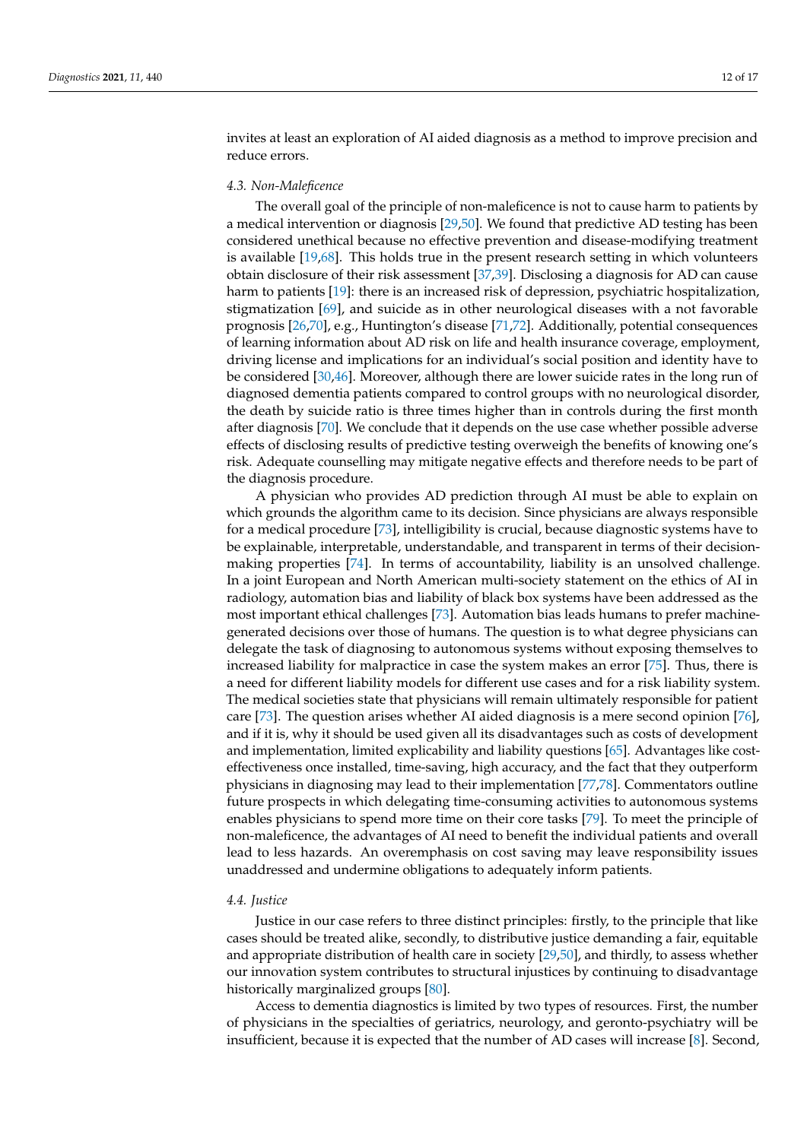invites at least an exploration of AI aided diagnosis as a method to improve precision and reduce errors.

# *4.3. Non-Maleficence*

The overall goal of the principle of non-maleficence is not to cause harm to patients by a medical intervention or diagnosis [\[29](#page-14-18)[,50\]](#page-15-11). We found that predictive AD testing has been considered unethical because no effective prevention and disease-modifying treatment is available [\[19](#page-14-10)[,68\]](#page-16-1). This holds true in the present research setting in which volunteers obtain disclosure of their risk assessment [\[37,](#page-14-26)[39\]](#page-15-0). Disclosing a diagnosis for AD can cause harm to patients [\[19\]](#page-14-10): there is an increased risk of depression, psychiatric hospitalization, stigmatization [\[69\]](#page-16-2), and suicide as in other neurological diseases with a not favorable prognosis [\[26](#page-14-16)[,70\]](#page-16-3), e.g., Huntington's disease [\[71](#page-16-4)[,72\]](#page-16-5). Additionally, potential consequences of learning information about AD risk on life and health insurance coverage, employment, driving license and implications for an individual's social position and identity have to be considered [\[30](#page-14-19)[,46\]](#page-15-7). Moreover, although there are lower suicide rates in the long run of diagnosed dementia patients compared to control groups with no neurological disorder, the death by suicide ratio is three times higher than in controls during the first month after diagnosis [\[70\]](#page-16-3). We conclude that it depends on the use case whether possible adverse effects of disclosing results of predictive testing overweigh the benefits of knowing one's risk. Adequate counselling may mitigate negative effects and therefore needs to be part of the diagnosis procedure.

A physician who provides AD prediction through AI must be able to explain on which grounds the algorithm came to its decision. Since physicians are always responsible for a medical procedure [\[73\]](#page-16-6), intelligibility is crucial, because diagnostic systems have to be explainable, interpretable, understandable, and transparent in terms of their decisionmaking properties [\[74\]](#page-16-7). In terms of accountability, liability is an unsolved challenge. In a joint European and North American multi-society statement on the ethics of AI in radiology, automation bias and liability of black box systems have been addressed as the most important ethical challenges [\[73\]](#page-16-6). Automation bias leads humans to prefer machinegenerated decisions over those of humans. The question is to what degree physicians can delegate the task of diagnosing to autonomous systems without exposing themselves to increased liability for malpractice in case the system makes an error [\[75\]](#page-16-8). Thus, there is a need for different liability models for different use cases and for a risk liability system. The medical societies state that physicians will remain ultimately responsible for patient care [\[73\]](#page-16-6). The question arises whether AI aided diagnosis is a mere second opinion [\[76\]](#page-16-9), and if it is, why it should be used given all its disadvantages such as costs of development and implementation, limited explicability and liability questions [\[65\]](#page-15-26). Advantages like costeffectiveness once installed, time-saving, high accuracy, and the fact that they outperform physicians in diagnosing may lead to their implementation [\[77](#page-16-10)[,78\]](#page-16-11). Commentators outline future prospects in which delegating time-consuming activities to autonomous systems enables physicians to spend more time on their core tasks [\[79\]](#page-16-12). To meet the principle of non-maleficence, the advantages of AI need to benefit the individual patients and overall lead to less hazards. An overemphasis on cost saving may leave responsibility issues unaddressed and undermine obligations to adequately inform patients.

### *4.4. Justice*

Justice in our case refers to three distinct principles: firstly, to the principle that like cases should be treated alike, secondly, to distributive justice demanding a fair, equitable and appropriate distribution of health care in society [\[29](#page-14-18)[,50\]](#page-15-11), and thirdly, to assess whether our innovation system contributes to structural injustices by continuing to disadvantage historically marginalized groups [\[80\]](#page-16-13).

Access to dementia diagnostics is limited by two types of resources. First, the number of physicians in the specialties of geriatrics, neurology, and geronto-psychiatry will be insufficient, because it is expected that the number of AD cases will increase [\[8\]](#page-14-0). Second,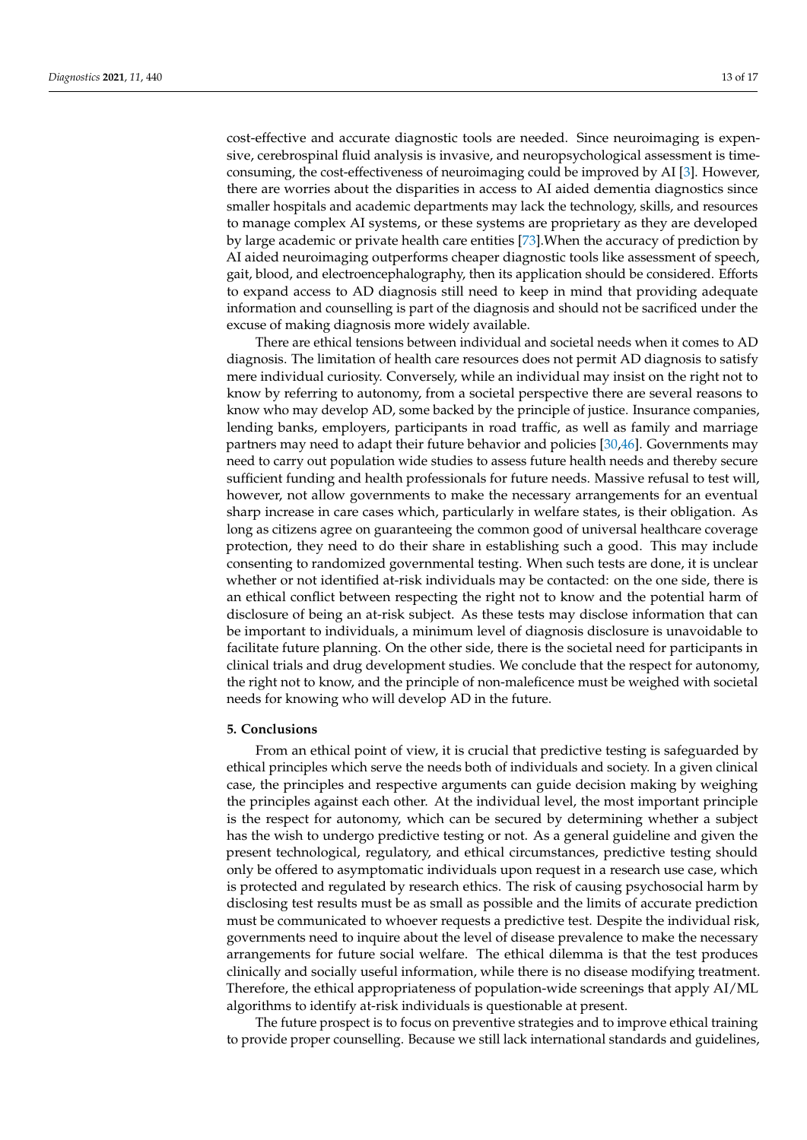cost-effective and accurate diagnostic tools are needed. Since neuroimaging is expensive, cerebrospinal fluid analysis is invasive, and neuropsychological assessment is timeconsuming, the cost-effectiveness of neuroimaging could be improved by AI [\[3\]](#page-13-2). However, there are worries about the disparities in access to AI aided dementia diagnostics since smaller hospitals and academic departments may lack the technology, skills, and resources to manage complex AI systems, or these systems are proprietary as they are developed by large academic or private health care entities [\[73\]](#page-16-6).When the accuracy of prediction by AI aided neuroimaging outperforms cheaper diagnostic tools like assessment of speech, gait, blood, and electroencephalography, then its application should be considered. Efforts to expand access to AD diagnosis still need to keep in mind that providing adequate information and counselling is part of the diagnosis and should not be sacrificed under the excuse of making diagnosis more widely available.

There are ethical tensions between individual and societal needs when it comes to AD diagnosis. The limitation of health care resources does not permit AD diagnosis to satisfy mere individual curiosity. Conversely, while an individual may insist on the right not to know by referring to autonomy, from a societal perspective there are several reasons to know who may develop AD, some backed by the principle of justice. Insurance companies, lending banks, employers, participants in road traffic, as well as family and marriage partners may need to adapt their future behavior and policies [\[30](#page-14-19)[,46\]](#page-15-7). Governments may need to carry out population wide studies to assess future health needs and thereby secure sufficient funding and health professionals for future needs. Massive refusal to test will, however, not allow governments to make the necessary arrangements for an eventual sharp increase in care cases which, particularly in welfare states, is their obligation. As long as citizens agree on guaranteeing the common good of universal healthcare coverage protection, they need to do their share in establishing such a good. This may include consenting to randomized governmental testing. When such tests are done, it is unclear whether or not identified at-risk individuals may be contacted: on the one side, there is an ethical conflict between respecting the right not to know and the potential harm of disclosure of being an at-risk subject. As these tests may disclose information that can be important to individuals, a minimum level of diagnosis disclosure is unavoidable to facilitate future planning. On the other side, there is the societal need for participants in clinical trials and drug development studies. We conclude that the respect for autonomy, the right not to know, and the principle of non-maleficence must be weighed with societal needs for knowing who will develop AD in the future.

## **5. Conclusions**

From an ethical point of view, it is crucial that predictive testing is safeguarded by ethical principles which serve the needs both of individuals and society. In a given clinical case, the principles and respective arguments can guide decision making by weighing the principles against each other. At the individual level, the most important principle is the respect for autonomy, which can be secured by determining whether a subject has the wish to undergo predictive testing or not. As a general guideline and given the present technological, regulatory, and ethical circumstances, predictive testing should only be offered to asymptomatic individuals upon request in a research use case, which is protected and regulated by research ethics. The risk of causing psychosocial harm by disclosing test results must be as small as possible and the limits of accurate prediction must be communicated to whoever requests a predictive test. Despite the individual risk, governments need to inquire about the level of disease prevalence to make the necessary arrangements for future social welfare. The ethical dilemma is that the test produces clinically and socially useful information, while there is no disease modifying treatment. Therefore, the ethical appropriateness of population-wide screenings that apply AI/ML algorithms to identify at-risk individuals is questionable at present.

The future prospect is to focus on preventive strategies and to improve ethical training to provide proper counselling. Because we still lack international standards and guidelines,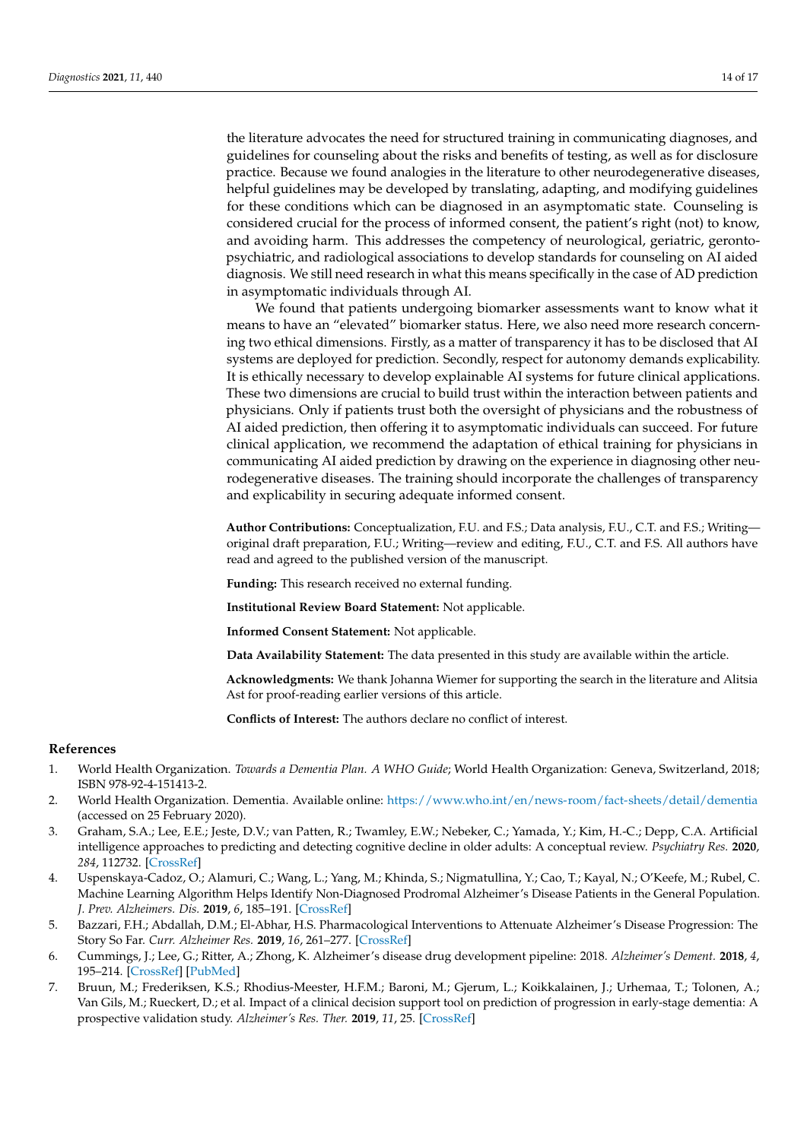the literature advocates the need for structured training in communicating diagnoses, and guidelines for counseling about the risks and benefits of testing, as well as for disclosure practice. Because we found analogies in the literature to other neurodegenerative diseases, helpful guidelines may be developed by translating, adapting, and modifying guidelines for these conditions which can be diagnosed in an asymptomatic state. Counseling is considered crucial for the process of informed consent, the patient's right (not) to know, and avoiding harm. This addresses the competency of neurological, geriatric, gerontopsychiatric, and radiological associations to develop standards for counseling on AI aided diagnosis. We still need research in what this means specifically in the case of AD prediction in asymptomatic individuals through AI.

We found that patients undergoing biomarker assessments want to know what it means to have an "elevated" biomarker status. Here, we also need more research concerning two ethical dimensions. Firstly, as a matter of transparency it has to be disclosed that AI systems are deployed for prediction. Secondly, respect for autonomy demands explicability. It is ethically necessary to develop explainable AI systems for future clinical applications. These two dimensions are crucial to build trust within the interaction between patients and physicians. Only if patients trust both the oversight of physicians and the robustness of AI aided prediction, then offering it to asymptomatic individuals can succeed. For future clinical application, we recommend the adaptation of ethical training for physicians in communicating AI aided prediction by drawing on the experience in diagnosing other neurodegenerative diseases. The training should incorporate the challenges of transparency and explicability in securing adequate informed consent.

**Author Contributions:** Conceptualization, F.U. and F.S.; Data analysis, F.U., C.T. and F.S.; Writing original draft preparation, F.U.; Writing—review and editing, F.U., C.T. and F.S. All authors have read and agreed to the published version of the manuscript.

**Funding:** This research received no external funding.

**Institutional Review Board Statement:** Not applicable.

**Informed Consent Statement:** Not applicable.

**Data Availability Statement:** The data presented in this study are available within the article.

**Acknowledgments:** We thank Johanna Wiemer for supporting the search in the literature and Alitsia Ast for proof-reading earlier versions of this article.

**Conflicts of Interest:** The authors declare no conflict of interest.

# **References**

- <span id="page-13-0"></span>1. World Health Organization. *Towards a Dementia Plan. A WHO Guide*; World Health Organization: Geneva, Switzerland, 2018; ISBN 978-92-4-151413-2.
- <span id="page-13-1"></span>2. World Health Organization. Dementia. Available online: <https://www.who.int/en/news-room/fact-sheets/detail/dementia> (accessed on 25 February 2020).
- <span id="page-13-2"></span>3. Graham, S.A.; Lee, E.E.; Jeste, D.V.; van Patten, R.; Twamley, E.W.; Nebeker, C.; Yamada, Y.; Kim, H.-C.; Depp, C.A. Artificial intelligence approaches to predicting and detecting cognitive decline in older adults: A conceptual review. *Psychiatry Res.* **2020**, *284*, 112732. [\[CrossRef\]](http://doi.org/10.1016/j.psychres.2019.112732)
- <span id="page-13-3"></span>4. Uspenskaya-Cadoz, O.; Alamuri, C.; Wang, L.; Yang, M.; Khinda, S.; Nigmatullina, Y.; Cao, T.; Kayal, N.; O'Keefe, M.; Rubel, C. Machine Learning Algorithm Helps Identify Non-Diagnosed Prodromal Alzheimer's Disease Patients in the General Population. *J. Prev. Alzheimers. Dis.* **2019**, *6*, 185–191. [\[CrossRef\]](http://doi.org/10.14283/jpad.2019.10)
- <span id="page-13-4"></span>5. Bazzari, F.H.; Abdallah, D.M.; El-Abhar, H.S. Pharmacological Interventions to Attenuate Alzheimer's Disease Progression: The Story So Far. *Curr. Alzheimer Res.* **2019**, *16*, 261–277. [\[CrossRef\]](http://doi.org/10.2174/1567205016666190301111120)
- <span id="page-13-5"></span>6. Cummings, J.; Lee, G.; Ritter, A.; Zhong, K. Alzheimer's disease drug development pipeline: 2018. *Alzheimer's Dement.* **2018**, *4*, 195–214. [\[CrossRef\]](http://doi.org/10.1016/j.trci.2018.03.009) [\[PubMed\]](http://www.ncbi.nlm.nih.gov/pubmed/29955663)
- <span id="page-13-6"></span>7. Bruun, M.; Frederiksen, K.S.; Rhodius-Meester, H.F.M.; Baroni, M.; Gjerum, L.; Koikkalainen, J.; Urhemaa, T.; Tolonen, A.; Van Gils, M.; Rueckert, D.; et al. Impact of a clinical decision support tool on prediction of progression in early-stage dementia: A prospective validation study. *Alzheimer's Res. Ther.* **2019**, *11*, 25. [\[CrossRef\]](http://doi.org/10.1186/s13195-019-0482-3)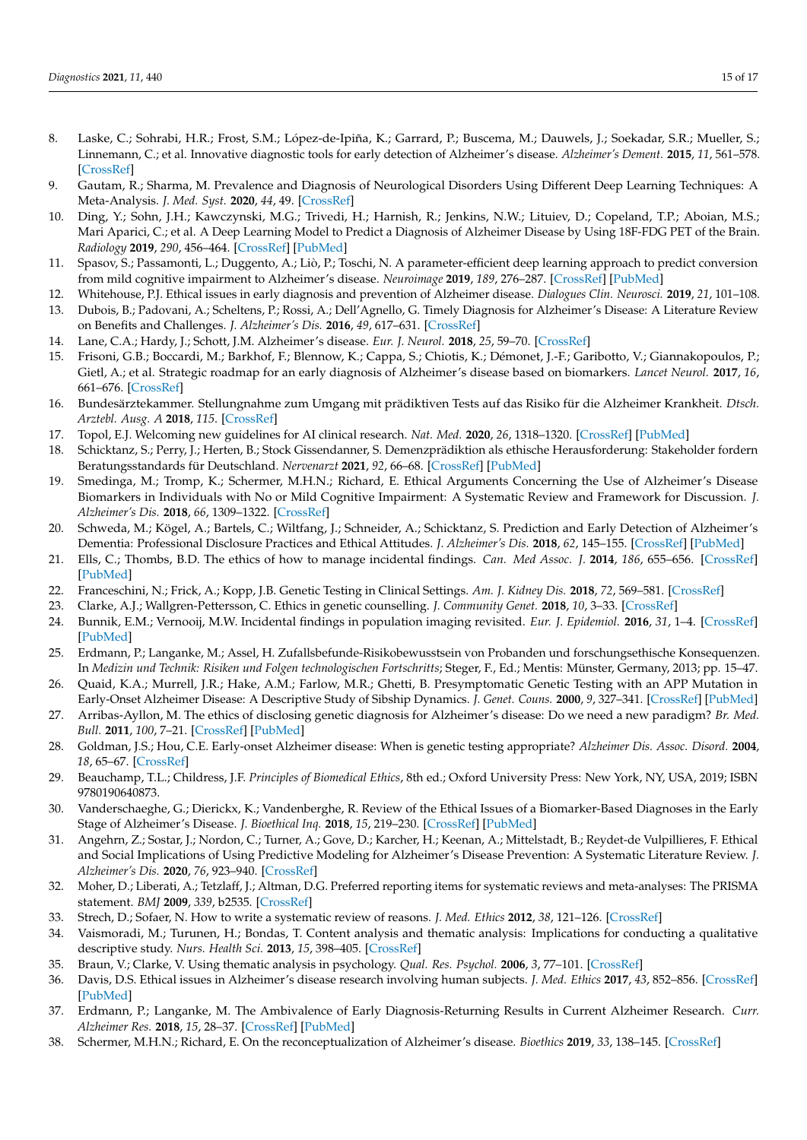- <span id="page-14-0"></span>8. Laske, C.; Sohrabi, H.R.; Frost, S.M.; López-de-Ipiña, K.; Garrard, P.; Buscema, M.; Dauwels, J.; Soekadar, S.R.; Mueller, S.; Linnemann, C.; et al. Innovative diagnostic tools for early detection of Alzheimer's disease. *Alzheimer's Dement.* **2015**, *11*, 561–578. [\[CrossRef\]](http://doi.org/10.1016/j.jalz.2014.06.004)
- <span id="page-14-1"></span>9. Gautam, R.; Sharma, M. Prevalence and Diagnosis of Neurological Disorders Using Different Deep Learning Techniques: A Meta-Analysis. *J. Med. Syst.* **2020**, *44*, 49. [\[CrossRef\]](http://doi.org/10.1007/s10916-019-1519-7)
- <span id="page-14-2"></span>10. Ding, Y.; Sohn, J.H.; Kawczynski, M.G.; Trivedi, H.; Harnish, R.; Jenkins, N.W.; Lituiev, D.; Copeland, T.P.; Aboian, M.S.; Mari Aparici, C.; et al. A Deep Learning Model to Predict a Diagnosis of Alzheimer Disease by Using 18F-FDG PET of the Brain. *Radiology* **2019**, *290*, 456–464. [\[CrossRef\]](http://doi.org/10.1148/radiol.2018180958) [\[PubMed\]](http://www.ncbi.nlm.nih.gov/pubmed/30398430)
- <span id="page-14-3"></span>11. Spasov, S.; Passamonti, L.; Duggento, A.; Liò, P.; Toschi, N. A parameter-efficient deep learning approach to predict conversion from mild cognitive impairment to Alzheimer's disease. *Neuroimage* **2019**, *189*, 276–287. [\[CrossRef\]](http://doi.org/10.1016/j.neuroimage.2019.01.031) [\[PubMed\]](http://www.ncbi.nlm.nih.gov/pubmed/30654174)
- <span id="page-14-4"></span>12. Whitehouse, P.J. Ethical issues in early diagnosis and prevention of Alzheimer disease. *Dialogues Clin. Neurosci.* **2019**, *21*, 101–108.
- 13. Dubois, B.; Padovani, A.; Scheltens, P.; Rossi, A.; Dell'Agnello, G. Timely Diagnosis for Alzheimer's Disease: A Literature Review on Benefits and Challenges. *J. Alzheimer's Dis.* **2016**, *49*, 617–631. [\[CrossRef\]](http://doi.org/10.3233/JAD-150692)
- <span id="page-14-5"></span>14. Lane, C.A.; Hardy, J.; Schott, J.M. Alzheimer's disease. *Eur. J. Neurol.* **2018**, *25*, 59–70. [\[CrossRef\]](http://doi.org/10.1111/ene.13439)
- <span id="page-14-6"></span>15. Frisoni, G.B.; Boccardi, M.; Barkhof, F.; Blennow, K.; Cappa, S.; Chiotis, K.; Démonet, J.-F.; Garibotto, V.; Giannakopoulos, P.; Gietl, A.; et al. Strategic roadmap for an early diagnosis of Alzheimer's disease based on biomarkers. *Lancet Neurol.* **2017**, *16*, 661–676. [\[CrossRef\]](http://doi.org/10.1016/S1474-4422(17)30159-X)
- <span id="page-14-7"></span>16. Bundesärztekammer. Stellungnahme zum Umgang mit prädiktiven Tests auf das Risiko für die Alzheimer Krankheit. *Dtsch. Arztebl. Ausg. A* **2018**, *115*. [\[CrossRef\]](http://doi.org/10.3238/arztebl.2018.sn_alzheimer01)
- <span id="page-14-8"></span>17. Topol, E.J. Welcoming new guidelines for AI clinical research. *Nat. Med.* **2020**, *26*, 1318–1320. [\[CrossRef\]](http://doi.org/10.1038/s41591-020-1042-x) [\[PubMed\]](http://www.ncbi.nlm.nih.gov/pubmed/32908274)
- <span id="page-14-9"></span>18. Schicktanz, S.; Perry, J.; Herten, B.; Stock Gissendanner, S. Demenzprädiktion als ethische Herausforderung: Stakeholder fordern Beratungsstandards für Deutschland. *Nervenarzt* **2021**, *92*, 66–68. [\[CrossRef\]](http://doi.org/10.1007/s00115-020-00985-y) [\[PubMed\]](http://www.ncbi.nlm.nih.gov/pubmed/32857230)
- <span id="page-14-10"></span>19. Smedinga, M.; Tromp, K.; Schermer, M.H.N.; Richard, E. Ethical Arguments Concerning the Use of Alzheimer's Disease Biomarkers in Individuals with No or Mild Cognitive Impairment: A Systematic Review and Framework for Discussion. *J. Alzheimer's Dis.* **2018**, *66*, 1309–1322. [\[CrossRef\]](http://doi.org/10.3233/JAD-180638)
- <span id="page-14-11"></span>20. Schweda, M.; Kögel, A.; Bartels, C.; Wiltfang, J.; Schneider, A.; Schicktanz, S. Prediction and Early Detection of Alzheimer's Dementia: Professional Disclosure Practices and Ethical Attitudes. *J. Alzheimer's Dis.* **2018**, *62*, 145–155. [\[CrossRef\]](http://doi.org/10.3233/JAD-170443) [\[PubMed\]](http://www.ncbi.nlm.nih.gov/pubmed/29439325)
- <span id="page-14-12"></span>21. Ells, C.; Thombs, B.D. The ethics of how to manage incidental findings. *Can. Med Assoc. J.* **2014**, *186*, 655–656. [\[CrossRef\]](http://doi.org/10.1503/cmaj.140136) [\[PubMed\]](http://www.ncbi.nlm.nih.gov/pubmed/24688013)
- 22. Franceschini, N.; Frick, A.; Kopp, J.B. Genetic Testing in Clinical Settings. *Am. J. Kidney Dis.* **2018**, *72*, 569–581. [\[CrossRef\]](http://doi.org/10.1053/j.ajkd.2018.02.351)
- <span id="page-14-13"></span>23. Clarke, A.J.; Wallgren-Pettersson, C. Ethics in genetic counselling. *J. Community Genet.* **2018**, *10*, 3–33. [\[CrossRef\]](http://doi.org/10.1007/s12687-018-0371-7)
- <span id="page-14-14"></span>24. Bunnik, E.M.; Vernooij, M.W. Incidental findings in population imaging revisited. *Eur. J. Epidemiol.* **2016**, *31*, 1–4. [\[CrossRef\]](http://doi.org/10.1007/s10654-016-0123-0) [\[PubMed\]](http://www.ncbi.nlm.nih.gov/pubmed/26861155)
- <span id="page-14-15"></span>25. Erdmann, P.; Langanke, M.; Assel, H. Zufallsbefunde-Risikobewusstsein von Probanden und forschungsethische Konsequenzen. In *Medizin und Technik: Risiken und Folgen technologischen Fortschritts*; Steger, F., Ed.; Mentis: Münster, Germany, 2013; pp. 15–47.
- <span id="page-14-16"></span>26. Quaid, K.A.; Murrell, J.R.; Hake, A.M.; Farlow, M.R.; Ghetti, B. Presymptomatic Genetic Testing with an APP Mutation in Early-Onset Alzheimer Disease: A Descriptive Study of Sibship Dynamics. *J. Genet. Couns.* **2000**, *9*, 327–341. [\[CrossRef\]](http://doi.org/10.1023/A:1009406229745) [\[PubMed\]](http://www.ncbi.nlm.nih.gov/pubmed/26141474)
- 27. Arribas-Ayllon, M. The ethics of disclosing genetic diagnosis for Alzheimer's disease: Do we need a new paradigm? *Br. Med. Bull.* **2011**, *100*, 7–21. [\[CrossRef\]](http://doi.org/10.1093/bmb/ldr023) [\[PubMed\]](http://www.ncbi.nlm.nih.gov/pubmed/21672937)
- <span id="page-14-17"></span>28. Goldman, J.S.; Hou, C.E. Early-onset Alzheimer disease: When is genetic testing appropriate? *Alzheimer Dis. Assoc. Disord.* **2004**, *18*, 65–67. [\[CrossRef\]](http://doi.org/10.1097/01.wad.0000126616.77653.71)
- <span id="page-14-18"></span>29. Beauchamp, T.L.; Childress, J.F. *Principles of Biomedical Ethics*, 8th ed.; Oxford University Press: New York, NY, USA, 2019; ISBN 9780190640873.
- <span id="page-14-19"></span>30. Vanderschaeghe, G.; Dierickx, K.; Vandenberghe, R. Review of the Ethical Issues of a Biomarker-Based Diagnoses in the Early Stage of Alzheimer's Disease. *J. Bioethical Inq.* **2018**, *15*, 219–230. [\[CrossRef\]](http://doi.org/10.1007/s11673-018-9844-y) [\[PubMed\]](http://www.ncbi.nlm.nih.gov/pubmed/29532386)
- <span id="page-14-20"></span>31. Angehrn, Z.; Sostar, J.; Nordon, C.; Turner, A.; Gove, D.; Karcher, H.; Keenan, A.; Mittelstadt, B.; Reydet-de Vulpillieres, F. Ethical and Social Implications of Using Predictive Modeling for Alzheimer's Disease Prevention: A Systematic Literature Review. *J. Alzheimer's Dis.* **2020**, *76*, 923–940. [\[CrossRef\]](http://doi.org/10.3233/JAD-191159)
- <span id="page-14-21"></span>32. Moher, D.; Liberati, A.; Tetzlaff, J.; Altman, D.G. Preferred reporting items for systematic reviews and meta-analyses: The PRISMA statement. *BMJ* **2009**, *339*, b2535. [\[CrossRef\]](http://doi.org/10.1136/bmj.b2535)
- <span id="page-14-22"></span>33. Strech, D.; Sofaer, N. How to write a systematic review of reasons. *J. Med. Ethics* **2012**, *38*, 121–126. [\[CrossRef\]](http://doi.org/10.1136/medethics-2011-100096)
- <span id="page-14-23"></span>34. Vaismoradi, M.; Turunen, H.; Bondas, T. Content analysis and thematic analysis: Implications for conducting a qualitative descriptive study. *Nurs. Health Sci.* **2013**, *15*, 398–405. [\[CrossRef\]](http://doi.org/10.1111/nhs.12048)
- <span id="page-14-24"></span>35. Braun, V.; Clarke, V. Using thematic analysis in psychology. *Qual. Res. Psychol.* **2006**, *3*, 77–101. [\[CrossRef\]](http://doi.org/10.1191/1478088706qp063oa)
- <span id="page-14-25"></span>36. Davis, D.S. Ethical issues in Alzheimer's disease research involving human subjects. *J. Med. Ethics* **2017**, *43*, 852–856. [\[CrossRef\]](http://doi.org/10.1136/medethics-2016-103392) [\[PubMed\]](http://www.ncbi.nlm.nih.gov/pubmed/28798225)
- <span id="page-14-26"></span>37. Erdmann, P.; Langanke, M. The Ambivalence of Early Diagnosis-Returning Results in Current Alzheimer Research. *Curr. Alzheimer Res.* **2018**, *15*, 28–37. [\[CrossRef\]](http://doi.org/10.2174/1567205014666170908101237) [\[PubMed\]](http://www.ncbi.nlm.nih.gov/pubmed/28891443)
- <span id="page-14-27"></span>38. Schermer, M.H.N.; Richard, E. On the reconceptualization of Alzheimer's disease. *Bioethics* **2019**, *33*, 138–145. [\[CrossRef\]](http://doi.org/10.1111/bioe.12516)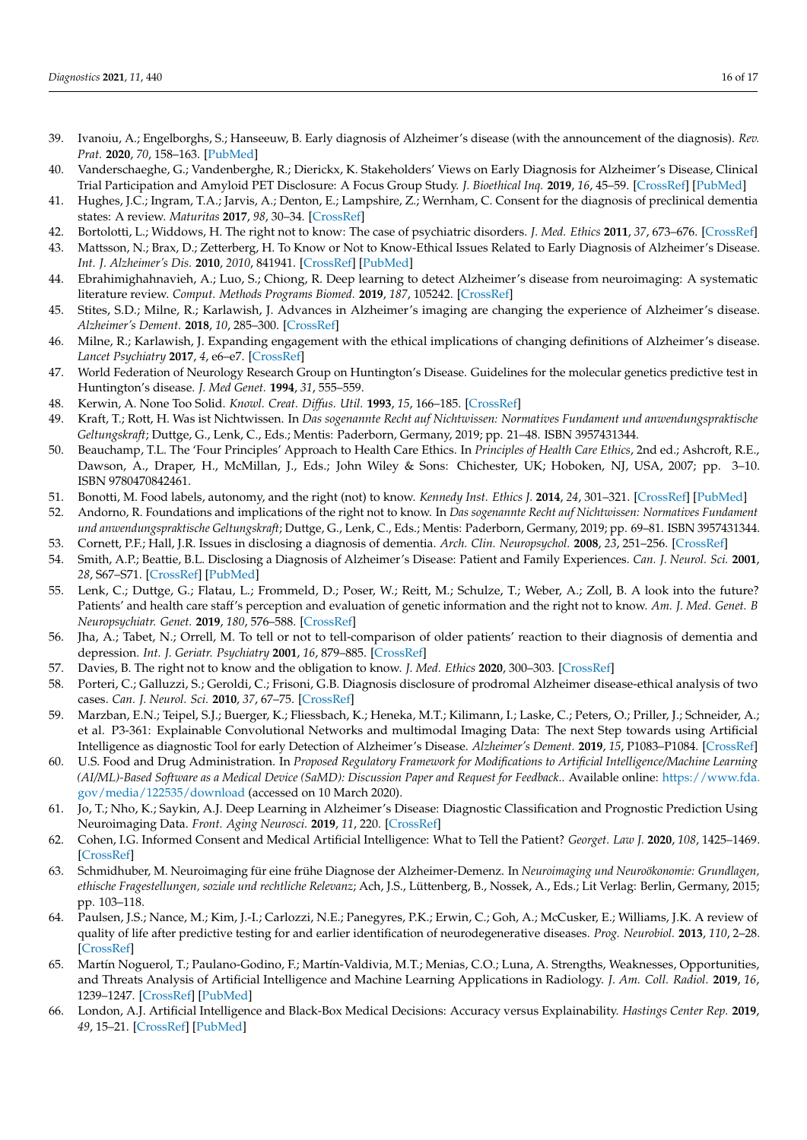- <span id="page-15-0"></span>39. Ivanoiu, A.; Engelborghs, S.; Hanseeuw, B. Early diagnosis of Alzheimer's disease (with the announcement of the diagnosis). *Rev. Prat.* **2020**, *70*, 158–163. [\[PubMed\]](http://www.ncbi.nlm.nih.gov/pubmed/32877127)
- <span id="page-15-1"></span>40. Vanderschaeghe, G.; Vandenberghe, R.; Dierickx, K. Stakeholders' Views on Early Diagnosis for Alzheimer's Disease, Clinical Trial Participation and Amyloid PET Disclosure: A Focus Group Study. *J. Bioethical Inq.* **2019**, *16*, 45–59. [\[CrossRef\]](http://doi.org/10.1007/s11673-019-09901-9) [\[PubMed\]](http://www.ncbi.nlm.nih.gov/pubmed/30868358)
- <span id="page-15-2"></span>41. Hughes, J.C.; Ingram, T.A.; Jarvis, A.; Denton, E.; Lampshire, Z.; Wernham, C. Consent for the diagnosis of preclinical dementia states: A review. *Maturitas* **2017**, *98*, 30–34. [\[CrossRef\]](http://doi.org/10.1016/j.maturitas.2017.01.008)
- <span id="page-15-3"></span>42. Bortolotti, L.; Widdows, H. The right not to know: The case of psychiatric disorders. *J. Med. Ethics* **2011**, *37*, 673–676. [\[CrossRef\]](http://doi.org/10.1136/jme.2010.041111)
- <span id="page-15-4"></span>43. Mattsson, N.; Brax, D.; Zetterberg, H. To Know or Not to Know-Ethical Issues Related to Early Diagnosis of Alzheimer's Disease. *Int. J. Alzheimer's Dis.* **2010**, *2010*, 841941. [\[CrossRef\]](http://doi.org/10.4061/2010/841941) [\[PubMed\]](http://www.ncbi.nlm.nih.gov/pubmed/20798843)
- <span id="page-15-5"></span>44. Ebrahimighahnavieh, A.; Luo, S.; Chiong, R. Deep learning to detect Alzheimer's disease from neuroimaging: A systematic literature review. *Comput. Methods Programs Biomed.* **2019**, *187*, 105242. [\[CrossRef\]](http://doi.org/10.1016/j.cmpb.2019.105242)
- <span id="page-15-6"></span>45. Stites, S.D.; Milne, R.; Karlawish, J. Advances in Alzheimer's imaging are changing the experience of Alzheimer's disease. *Alzheimer's Dement.* **2018**, *10*, 285–300. [\[CrossRef\]](http://doi.org/10.1016/j.dadm.2018.02.006)
- <span id="page-15-7"></span>46. Milne, R.; Karlawish, J. Expanding engagement with the ethical implications of changing definitions of Alzheimer's disease. *Lancet Psychiatry* **2017**, *4*, e6–e7. [\[CrossRef\]](http://doi.org/10.1016/S2215-0366(17)30089-5)
- <span id="page-15-8"></span>47. World Federation of Neurology Research Group on Huntington's Disease. Guidelines for the molecular genetics predictive test in Huntington's disease. *J. Med Genet.* **1994**, *31*, 555–559.
- <span id="page-15-9"></span>48. Kerwin, A. None Too Solid. *Knowl. Creat. Diffus. Util.* **1993**, *15*, 166–185. [\[CrossRef\]](http://doi.org/10.1177/107554709301500204)
- <span id="page-15-10"></span>49. Kraft, T.; Rott, H. Was ist Nichtwissen. In *Das sogenannte Recht auf Nichtwissen: Normatives Fundament und anwendungspraktische Geltungskraft*; Duttge, G., Lenk, C., Eds.; Mentis: Paderborn, Germany, 2019; pp. 21–48. ISBN 3957431344.
- <span id="page-15-11"></span>50. Beauchamp, T.L. The 'Four Principles' Approach to Health Care Ethics. In *Principles of Health Care Ethics*, 2nd ed.; Ashcroft, R.E., Dawson, A., Draper, H., McMillan, J., Eds.; John Wiley & Sons: Chichester, UK; Hoboken, NJ, USA, 2007; pp. 3–10. ISBN 9780470842461.
- <span id="page-15-12"></span>51. Bonotti, M. Food labels, autonomy, and the right (not) to know. *Kennedy Inst. Ethics J.* **2014**, *24*, 301–321. [\[CrossRef\]](http://doi.org/10.1353/ken.2014.0032) [\[PubMed\]](http://www.ncbi.nlm.nih.gov/pubmed/25638945)
- <span id="page-15-13"></span>52. Andorno, R. Foundations and implications of the right not to know. In *Das sogenannte Recht auf Nichtwissen: Normatives Fundament und anwendungspraktische Geltungskraft*; Duttge, G., Lenk, C., Eds.; Mentis: Paderborn, Germany, 2019; pp. 69–81. ISBN 3957431344.
- <span id="page-15-14"></span>53. Cornett, P.F.; Hall, J.R. Issues in disclosing a diagnosis of dementia. *Arch. Clin. Neuropsychol.* **2008**, *23*, 251–256. [\[CrossRef\]](http://doi.org/10.1016/j.acn.2008.01.001)
- <span id="page-15-15"></span>54. Smith, A.P.; Beattie, B.L. Disclosing a Diagnosis of Alzheimer's Disease: Patient and Family Experiences. *Can. J. Neurol. Sci.* **2001**, *28*, S67–S71. [\[CrossRef\]](http://doi.org/10.1017/S0317167100001220) [\[PubMed\]](http://www.ncbi.nlm.nih.gov/pubmed/11237313)
- <span id="page-15-16"></span>55. Lenk, C.; Duttge, G.; Flatau, L.; Frommeld, D.; Poser, W.; Reitt, M.; Schulze, T.; Weber, A.; Zoll, B. A look into the future? Patients' and health care staff's perception and evaluation of genetic information and the right not to know. *Am. J. Med. Genet. B Neuropsychiatr. Genet.* **2019**, *180*, 576–588. [\[CrossRef\]](http://doi.org/10.1002/ajmg.b.32751)
- <span id="page-15-17"></span>56. Jha, A.; Tabet, N.; Orrell, M. To tell or not to tell-comparison of older patients' reaction to their diagnosis of dementia and depression. *Int. J. Geriatr. Psychiatry* **2001**, *16*, 879–885. [\[CrossRef\]](http://doi.org/10.1002/gps.412)
- <span id="page-15-18"></span>57. Davies, B. The right not to know and the obligation to know. *J. Med. Ethics* **2020**, 300–303. [\[CrossRef\]](http://doi.org/10.1136/medethics-2019-106009)
- <span id="page-15-19"></span>58. Porteri, C.; Galluzzi, S.; Geroldi, C.; Frisoni, G.B. Diagnosis disclosure of prodromal Alzheimer disease-ethical analysis of two cases. *Can. J. Neurol. Sci.* **2010**, *37*, 67–75. [\[CrossRef\]](http://doi.org/10.1017/S0317167100009677)
- <span id="page-15-20"></span>59. Marzban, E.N.; Teipel, S.J.; Buerger, K.; Fliessbach, K.; Heneka, M.T.; Kilimann, I.; Laske, C.; Peters, O.; Priller, J.; Schneider, A.; et al. P3-361: Explainable Convolutional Networks and multimodal Imaging Data: The next Step towards using Artificial Intelligence as diagnostic Tool for early Detection of Alzheimer's Disease. *Alzheimer's Dement.* **2019**, *15*, P1083–P1084. [\[CrossRef\]](http://doi.org/10.1016/j.jalz.2019.06.3394)
- <span id="page-15-21"></span>60. U.S. Food and Drug Administration. In *Proposed Regulatory Framework for Modifications to Artificial Intelligence/Machine Learning (AI/ML)-Based Software as a Medical Device (SaMD): Discussion Paper and Request for Feedback.*. Available online: [https://www.fda.](https://www.fda.gov/media/122535/download) [gov/media/122535/download](https://www.fda.gov/media/122535/download) (accessed on 10 March 2020).
- <span id="page-15-22"></span>61. Jo, T.; Nho, K.; Saykin, A.J. Deep Learning in Alzheimer's Disease: Diagnostic Classification and Prognostic Prediction Using Neuroimaging Data. *Front. Aging Neurosci.* **2019**, *11*, 220. [\[CrossRef\]](http://doi.org/10.3389/fnagi.2019.00220)
- <span id="page-15-23"></span>62. Cohen, I.G. Informed Consent and Medical Artificial Intelligence: What to Tell the Patient? *Georget. Law J.* **2020**, *108*, 1425–1469. [\[CrossRef\]](http://doi.org/10.2139/ssrn.3529576)
- <span id="page-15-24"></span>63. Schmidhuber, M. Neuroimaging für eine frühe Diagnose der Alzheimer-Demenz. In *Neuroimaging und Neuroökonomie: Grundlagen, ethische Fragestellungen, soziale und rechtliche Relevanz*; Ach, J.S., Lüttenberg, B., Nossek, A., Eds.; Lit Verlag: Berlin, Germany, 2015; pp. 103–118.
- <span id="page-15-25"></span>64. Paulsen, J.S.; Nance, M.; Kim, J.-I.; Carlozzi, N.E.; Panegyres, P.K.; Erwin, C.; Goh, A.; McCusker, E.; Williams, J.K. A review of quality of life after predictive testing for and earlier identification of neurodegenerative diseases. *Prog. Neurobiol.* **2013**, *110*, 2–28. [\[CrossRef\]](http://doi.org/10.1016/j.pneurobio.2013.08.003)
- <span id="page-15-26"></span>65. Martín Noguerol, T.; Paulano-Godino, F.; Martín-Valdivia, M.T.; Menias, C.O.; Luna, A. Strengths, Weaknesses, Opportunities, and Threats Analysis of Artificial Intelligence and Machine Learning Applications in Radiology. *J. Am. Coll. Radiol.* **2019**, *16*, 1239–1247. [\[CrossRef\]](http://doi.org/10.1016/j.jacr.2019.05.047) [\[PubMed\]](http://www.ncbi.nlm.nih.gov/pubmed/31492401)
- 66. London, A.J. Artificial Intelligence and Black-Box Medical Decisions: Accuracy versus Explainability. *Hastings Center Rep.* **2019**, *49*, 15–21. [\[CrossRef\]](http://doi.org/10.1002/hast.973) [\[PubMed\]](http://www.ncbi.nlm.nih.gov/pubmed/30790315)